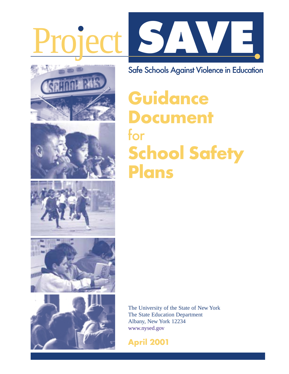











Safe Schools Against Violence in Education

# **Guidance Document** for **School Safety Plans**

The University of the State of New York The State Education Department Albany, New York 12234 [www.nysed.gov](http://www.nysed.gov)

**April 2001**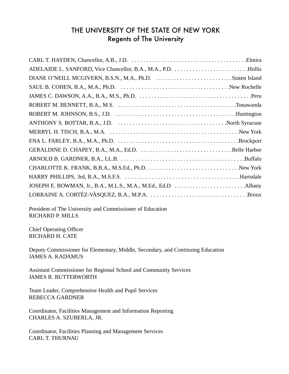## THE UNIVERSITY OF THE STATE OF NEW YORK Regents of The University

President of The University and Commissioner of Education RICHARD P. MILLS

Chief Operating Officer RICHARD H. CATE

Deputy Commissioner for Elementary, Middle, Secondary, and Continuing Education JAMES A. KADAMUS

Assistant Commissioner for Regional School and Community Services JAMES R. BUTTERWORTH

Team Leader, Comprehensive Health and Pupil Services REBECCA GARDNER

Coordinator, Facilities Management and Information Reporting CHARLES A. SZUBERLA, JR.

Coordinator, Facilities Planning and Management Services CARL T. THURNAU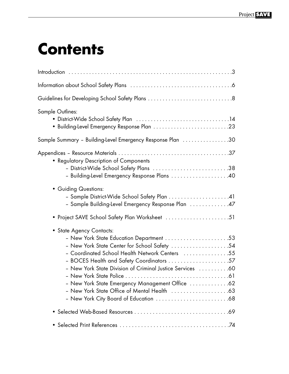# **Contents**

| <b>Sample Outlines:</b>                                                                                                                                                                                                                     |
|---------------------------------------------------------------------------------------------------------------------------------------------------------------------------------------------------------------------------------------------|
| Sample Summary - Building-Level Emergency Response Plan 30                                                                                                                                                                                  |
| • Regulatory Description of Components<br>- District-Wide School Safety Plans 38                                                                                                                                                            |
| - Building-Level Emergency Response Plans  40                                                                                                                                                                                               |
| • Guiding Questions:<br>- Sample District-Wide School Safety Plan 41<br>- Sample Building-Level Emergency Response Plan 47                                                                                                                  |
| • Project SAVE School Safety Plan Worksheet 51                                                                                                                                                                                              |
| • State Agency Contacts:<br>- New York State Center for School Safety 54<br>- Coordinated School Health Network Centers 55<br>- New York State Division of Criminal Justice Services  60<br>- New York State Emergency Management Office 62 |
|                                                                                                                                                                                                                                             |
|                                                                                                                                                                                                                                             |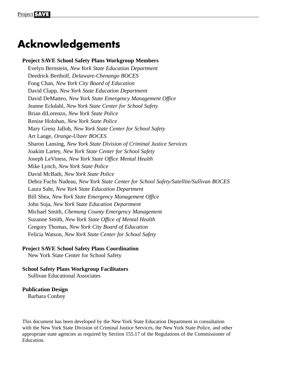## **Acknowledgements**

**Project SAVE School Safety Plans Workgroup Members**  Evelyn Bernstein, *New York State Education Department* Deedrick Bertholf, *Delaware-Chenango BOCES* Fong Chan, *New York City Board of Education* David Clapp, *New York State Education Department* David DeMatteo, *New York State Emergency Management Office* Jeanne Eckdahl, *New York State Center for School Safety* Brian diLorenzo, *New York State Police* Renise Holohan, *New York State Police* Mary Grenz Jalloh, *New York State Center for School Safety* Art Lange, *Orange-Ulster BOCES* Sharon Lansing, *New York State Division of Criminal Justice Services* Joakim Lartey, *New York State Center for School Safety* Joseph LeViness, *New York State Office Mental Health* Mike Lynch, *New York State Police* David McBath, *New York State Police* Debra Fuchs Nadeau, *New York State Center for School Safety/Satellite/Sullivan BOCES* Laura Sahr, *New York State Education Department* Bill Shea, *New York State Emergency Management Office* John Soja, *New York State Education Department* Michael Smith, *Chemung County Emergency Management* Suzanne Smith, *New York State Office of Mental Health* Gregory Thomas, *New York City Board of Education* Felicia Watson, *New York State Center for School Safety*

#### **Project SAVE School Safety Plans Coordination**

New York State Center for School Safety

**School Safety Plans Workgroup Facilitators** Sullivan Educational Associates

#### **Publication Design**

Barbara Conboy

This document has been developed by the New York State Education Department in consultation with the New York State Division of Criminal Justice Services, the New York State Police, and other appropriate state agencies as required by Section 155.17 of the Regulations of the Commissioner of Education.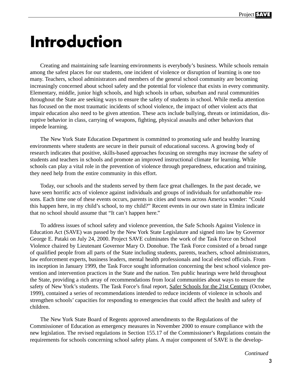# **Introduction**

Creating and maintaining safe learning environments is everybody's business. While schools remain among the safest places for our students, one incident of violence or disruption of learning is one too many. Teachers, school administrators and members of the general school community are becoming increasingly concerned about school safety and the potential for violence that exists in every community. Elementary, middle, junior high schools, and high schools in urban, suburban and rural communities throughout the State are seeking ways to ensure the safety of students in school. While media attention has focused on the most traumatic incidents of school violence, the impact of other violent acts that impair education also need to be given attention. These acts include bullying, threats or intimidation, disruptive behavior in class, carrying of weapons, fighting, physical assaults and other behaviors that impede learning.

The New York State Education Department is committed to promoting safe and healthy learning environments where students are secure in their pursuit of educational success. A growing body of research indicates that positive, skills-based approaches focusing on strengths may increase the safety of students and teachers in schools and promote an improved instructional climate for learning. While schools can play a vital role in the prevention of violence through preparedness, education and training, they need help from the entire community in this effort.

Today, our schools and the students served by them face great challenges. In the past decade, we have seen horrific acts of violence against individuals and groups of individuals for unfathomable reasons. Each time one of these events occurs, parents in cities and towns across America wonder: "Could this happen here, in my child's school, to my child?" Recent events in our own state in Elmira indicate that no school should assume that "It can't happen here."

To address issues of school safety and violence prevention, the Safe Schools Against Violence in Education Act (SAVE) was passed by the New York State Legislature and signed into law by Governor George E. Pataki on July 24, 2000. Project SAVE culminates the work of the Task Force on School Violence chaired by Lieutenant Governor Mary O. Donohue. The Task Force consisted of a broad range of qualified people from all parts of the State including students, parents, teachers, school administrators, law enforcement experts, business leaders, mental health professionals and local elected officials. From its inception in January 1999, the Task Force sought information concerning the best school violence prevention and intervention practices in the State and the nation. Ten public hearings were held throughout the State, providing a rich array of recommendations from local communities about ways to ensure the safety of New York's students. The Task Force's final report, Safer Schools for the 21st Century (October, 1999), contained a series of recommendations intended to reduce incidents of violence in schools and strengthen schools' capacities for responding to emergencies that could affect the health and safety of children.

The New York State Board of Regents approved amendments to the Regulations of the Commissioner of Education as emergency measures in November 2000 to ensure compliance with the new legislation. The revised regulations in Section 155.17 of the Commissioner's Regulations contain the requirements for schools concerning school safety plans. A major component of SAVE is the develop-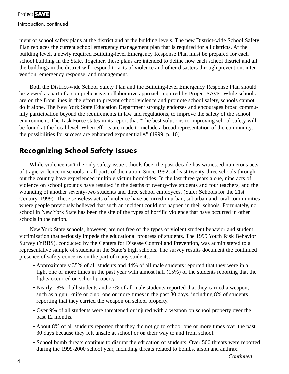## Project **SAVE**

Introduction, continued

ment of school safety plans at the district and at the building levels. The new District-wide School Safety Plan replaces the current school emergency management plan that is required for all districts. At the building level, a newly required Building-level Emergency Response Plan must be prepared for each school building in the State. Together, these plans are intended to define how each school district and all the buildings in the district will respond to acts of violence and other disasters through prevention, intervention, emergency response, and management.

Both the District-wide School Safety Plan and the Building-level Emergency Response Plan should be viewed as part of a comprehensive, collaborative approach required by Project SAVE. While schools are on the front lines in the effort to prevent school violence and promote school safety, schools cannot do it alone. The New York State Education Department strongly endorses and encourages broad community participation beyond the requirements in law and regulations, to improve the safety of the school environment. The Task Force states in its report that "The best solutions to improving school safety will be found at the local level. When efforts are made to include a broad representation of the community, the possibilities for success are enhanced exponentially." (1999, p. 10)

## **Recognizing School Safety Issues**

While violence isn't the only safety issue schools face, the past decade has witnessed numerous acts of tragic violence in schools in all parts of the nation. Since 1992, at least twenty-three schools throughout the country have experienced multiple victim homicides. In the last three years alone, nine acts of violence on school grounds have resulted in the deaths of twenty-five students and four teachers, and the wounding of another seventy-two students and three school employees. (Safer Schools for the 21st Century, 1999) These senseless acts of violence have occurred in urban, suburban and rural communities where people previously believed that such an incident could not happen in their schools. Fortunately, no school in New York State has been the site of the types of horrific violence that have occurred in other schools in the nation.

New York State schools, however, are not free of the types of violent student behavior and student victimization that seriously impede the educational progress of students. The 1999 Youth Risk Behavior Survey (YRBS), conducted by the Centers for Disease Control and Prevention, was administered to a representative sample of students in the State's high schools. The survey results document the continued presence of safety concerns on the part of many students.

- Approximately 35% of all students and 44% of all male students reported that they were in a fight one or more times in the past year with almost half (15%) of the students reporting that the fights occurred on school property.
- Nearly 18% of all students and 27% of all male students reported that they carried a weapon, such as a gun, knife or club, one or more times in the past 30 days, including 8% of students reporting that they carried the weapon on school property.
- Over 9% of all students were threatened or injured with a weapon on school property over the past 12 months.
- About 8% of all students reported that they did not go to school one or more times over the past 30 days because they felt unsafe at school or on their way to and from school.
- School bomb threats continue to disrupt the education of students. Over 500 threats were reported during the 1999-2000 school year, including threats related to bombs, arson and anthrax.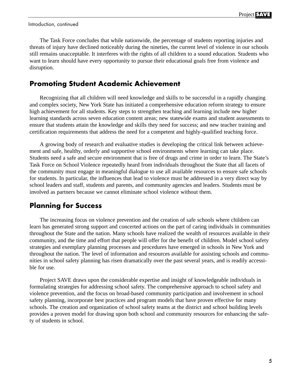Introduction, continued

The Task Force concludes that while nationwide, the percentage of students reporting injuries and threats of injury have declined noticeably during the nineties, the current level of violence in our schools still remains unacceptable. It interferes with the rights of all children to a sound education. Students who want to learn should have every opportunity to pursue their educational goals free from violence and disruption.

## **Promoting Student Academic Achievement**

Recognizing that all children will need knowledge and skills to be successful in a rapidly changing and complex society, New York State has initiated a comprehensive education reform strategy to ensure high achievement for all students. Key steps to strengthen teaching and learning include new higher learning standards across seven education content areas; new statewide exams and student assessments to ensure that students attain the knowledge and skills they need for success; and new teacher training and certification requirements that address the need for a competent and highly-qualified teaching force.

A growing body of research and evaluative studies is developing the critical link between achievement and safe, healthy, orderly and supportive school environments where learning can take place. Students need a safe and secure environment that is free of drugs and crime in order to learn. The State's Task Force on School Violence repeatedly heard from individuals throughout the State that all facets of the community must engage in meaningful dialogue to use all available resources to ensure safe schools for students. In particular, the influences that lead to violence must be addressed in a very direct way by school leaders and staff, students and parents, and community agencies and leaders. Students must be involved as partners because we cannot eliminate school violence without them.

## **Planning for Success**

The increasing focus on violence prevention and the creation of safe schools where children can learn has generated strong support and concerted actions on the part of caring individuals in communities throughout the State and the nation. Many schools have realized the wealth of resources available in their community, and the time and effort that people will offer for the benefit of children. Model school safety strategies and exemplary planning processes and procedures have emerged in schools in New York and throughout the nation. The level of information and resources available for assisting schools and communities in school safety planning has risen dramatically over the past several years, and is readily accessible for use.

Project SAVE draws upon the considerable expertise and insight of knowledgeable individuals in formulating strategies for addressing school safety. The comprehensive approach to school safety and violence prevention, and the focus on broad-based community participation and involvement in school safety planning, incorporate best practices and program models that have proven effective for many schools. The creation and organization of school safety teams at the district and school building levels provides a proven model for drawing upon both school and community resources for enhancing the safety of students in school.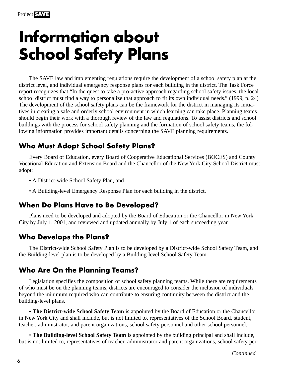# **Information about School Safety Plans**

The SAVE law and implementing regulations require the development of a school safety plan at the district level, and individual emergency response plans for each building in the district. The Task Force report recognizes that "In the quest to take a pro-active approach regarding school safety issues, the local school district must find a way to personalize that approach to fit its own individual needs." (1999, p. 24) The development of the school safety plans can be the framework for the district in managing its initiatives in creating a safe and orderly school environment in which learning can take place. Planning teams should begin their work with a thorough review of the law and regulations. To assist districts and school buildings with the process for school safety planning and the formation of school safety teams, the following information provides important details concerning the SAVE planning requirements.

## **Who Must Adopt School Safety Plans?**

Every Board of Education, every Board of Cooperative Educational Services (BOCES) and County Vocational Education and Extension Board and the Chancellor of the New York City School District must adopt:

- A District-wide School Safety Plan, and
- A Building-level Emergency Response Plan for each building in the district.

## **When Do Plans Have to Be Developed?**

Plans need to be developed and adopted by the Board of Education or the Chancellor in New York City by July 1, 2001, and reviewed and updated annually by July 1 of each succeeding year.

## **Who Develops the Plans?**

The District-wide School Safety Plan is to be developed by a District-wide School Safety Team, and the Building-level plan is to be developed by a Building-level School Safety Team.

## **Who Are On the Planning Teams?**

Legislation specifies the composition of school safety planning teams. While there are requirements of who must be on the planning teams, districts are encouraged to consider the inclusion of individuals beyond the minimum required who can contribute to ensuring continuity between the district and the building-level plans.

• **The District-wide School Safety Team** is appointed by the Board of Education or the Chancellor in New York City and shall include, but is not limited to, representatives of the School Board, student, teacher, administrator, and parent organizations, school safety personnel and other school personnel.

• **The Building-level School Safety Team** is appointed by the building principal and shall include, but is not limited to, representatives of teacher, administrator and parent organizations, school safety per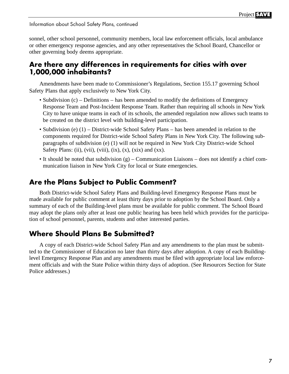Information about School Safety Plans, continued

sonnel, other school personnel, community members, local law enforcement officials, local ambulance or other emergency response agencies, and any other representatives the School Board, Chancellor or other governing body deems appropriate.

## **Are there any differences in requirements for cities with over 1,000,000 inhabitants?**

Amendments have been made to Commissioner's Regulations, Section 155.17 governing School Safety Plans that apply exclusively to New York City.

- Subdivision (c) Definitions has been amended to modify the definitions of Emergency Response Team and Post-Incident Response Team. Rather than requiring all schools in New York City to have unique teams in each of its schools, the amended regulation now allows such teams to be created on the district level with building-level participation.
- Subdivision (e) (1) District-wide School Safety Plans has been amended in relation to the components required for District-wide School Safety Plans in New York City. The following subparagraphs of subdivision (e) (1) will not be required in New York City District-wide School Safety Plans: (ii), (vii), (viii), (ix), (x), (xix) and (xx).
- It should be noted that subdivision  $(g)$  Communication Liaisons does not identify a chief communication liaison in New York City for local or State emergencies.

## **Are the Plans Subject to Public Comment?**

Both District-wide School Safety Plans and Building-level Emergency Response Plans must be made available for public comment at least thirty days prior to adoption by the School Board. Only a summary of each of the Building-level plans must be available for public comment. The School Board may adopt the plans only after at least one public hearing has been held which provides for the participation of school personnel, parents, students and other interested parties.

## **Where Should Plans Be Submitted?**

A copy of each District-wide School Safety Plan and any amendments to the plan must be submitted to the Commissioner of Education no later than thirty days after adoption. A copy of each Buildinglevel Emergency Response Plan and any amendments must be filed with appropriate local law enforcement officials and with the State Police within thirty days of adoption. (See Resources Section for State Police addresses.)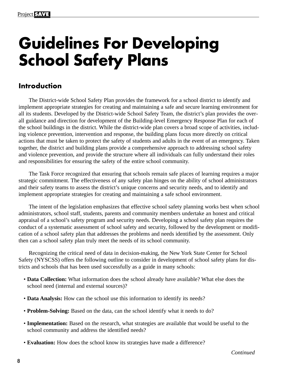# **Guidelines For Developing School Safety Plans**

## **Introduction**

The District-wide School Safety Plan provides the framework for a school district to identify and implement appropriate strategies for creating and maintaining a safe and secure learning environment for all its students. Developed by the District-wide School Safety Team, the district's plan provides the overall guidance and direction for development of the Building-level Emergency Response Plan for each of the school buildings in the district. While the district-wide plan covers a broad scope of activities, including violence prevention, intervention and response, the building plans focus more directly on critical actions that must be taken to protect the safety of students and adults in the event of an emergency. Taken together, the district and building plans provide a comprehensive approach to addressing school safety and violence prevention, and provide the structure where all individuals can fully understand their roles and responsibilities for ensuring the safety of the entire school community.

The Task Force recognized that ensuring that schools remain safe places of learning requires a major strategic commitment. The effectiveness of any safety plan hinges on the ability of school administrators and their safety teams to assess the district's unique concerns and security needs, and to identify and implement appropriate strategies for creating and maintaining a safe school environment.

The intent of the legislation emphasizes that effective school safety planning works best when school administrators, school staff, students, parents and community members undertake an honest and critical appraisal of a school's safety program and security needs. Developing a school safety plan requires the conduct of a systematic assessment of school safety and security, followed by the development or modification of a school safety plan that addresses the problems and needs identified by the assessment. Only then can a school safety plan truly meet the needs of its school community.

Recognizing the critical need of data in decision-making, the New York State Center for School Safety (NYSCSS) offers the following outline to consider in development of school safety plans for districts and schools that has been used successfully as a guide in many schools:

- **Data Collection:** What information does the school already have available? What else does the school need (internal and external sources)?
- **Data Analysis:** How can the school use this information to identify its needs?
- **Problem-Solving:** Based on the data, can the school identify what it needs to do?
- **Implementation:** Based on the research, what strategies are available that would be useful to the school community and address the identified needs?
- **Evaluation:** How does the school know its strategies have made a difference?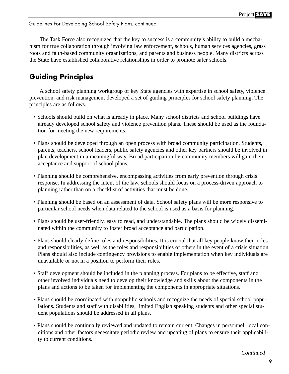The Task Force also recognized that the key to success is a community's ability to build a mechanism for true collaboration through involving law enforcement, schools, human services agencies, grass roots and faith-based community organizations, and parents and business people. Many districts across the State have established collaborative relationships in order to promote safer schools.

## **Guiding Principles**

A school safety planning workgroup of key State agencies with expertise in school safety, violence prevention, and risk management developed a set of guiding principles for school safety planning. The principles are as follows.

- Schools should build on what is already in place. Many school districts and school buildings have already developed school safety and violence prevention plans. These should be used as the foundation for meeting the new requirements.
- Plans should be developed through an open process with broad community participation. Students, parents, teachers, school leaders, public safety agencies and other key partners should be involved in plan development in a meaningful way. Broad participation by community members will gain their acceptance and support of school plans.
- Planning should be comprehensive, encompassing activities from early prevention through crisis response. In addressing the intent of the law, schools should focus on a process-driven approach to planning rather than on a checklist of activities that must be done.
- Planning should be based on an assessment of data. School safety plans will be more responsive to particular school needs when data related to the school is used as a basis for planning.
- Plans should be user-friendly, easy to read, and understandable. The plans should be widely disseminated within the community to foster broad acceptance and participation.
- Plans should clearly define roles and responsibilities. It is crucial that all key people know their roles and responsibilities, as well as the roles and responsibilities of others in the event of a crisis situation. Plans should also include contingency provisions to enable implementation when key individuals are unavailable or not in a position to perform their roles.
- Staff development should be included in the planning process. For plans to be effective, staff and other involved individuals need to develop their knowledge and skills about the components in the plans and actions to be taken for implementing the components in appropriate situations.
- Plans should be coordinated with nonpublic schools and recognize the needs of special school populations. Students and staff with disabilities, limited English speaking students and other special student populations should be addressed in all plans.
- Plans should be continually reviewed and updated to remain current. Changes in personnel, local conditions and other factors necessitate periodic review and updating of plans to ensure their applicability to current conditions.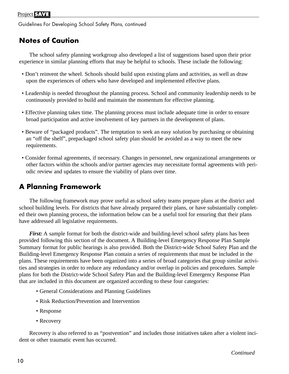## **Notes of Caution**

The school safety planning workgroup also developed a list of suggestions based upon their prior experience in similar planning efforts that may be helpful to schools. These include the following:

- Don't reinvent the wheel. Schools should build upon existing plans and activities, as well as draw upon the experiences of others who have developed and implemented effective plans.
- Leadership is needed throughout the planning process. School and community leadership needs to be continuously provided to build and maintain the momentum for effective planning.
- Effective planning takes time. The planning process must include adequate time in order to ensure broad participation and active involvement of key partners in the development of plans.
- Beware of "packaged products". The temptation to seek an easy solution by purchasing or obtaining an "off the shelf", prepackaged school safety plan should be avoided as a way to meet the new requirements.
- Consider formal agreements, if necessary. Changes in personnel, new organizational arrangements or other factors within the schools and/or partner agencies may necessitate formal agreements with periodic review and updates to ensure the viability of plans over time.

## **A Planning Framework**

The following framework may prove useful as school safety teams prepare plans at the district and school building levels. For districts that have already prepared their plans, or have substantially completed their own planning process, the information below can be a useful tool for ensuring that their plans have addressed all legislative requirements.

*First:* A sample format for both the district-wide and building-level school safety plans has been provided following this section of the document. A Building-level Emergency Response Plan Sample Summary format for public hearings is also provided. Both the District-wide School Safety Plan and the Building-level Emergency Response Plan contain a series of requirements that must be included in the plans. These requirements have been organized into a series of broad categories that group similar activities and strategies in order to reduce any redundancy and/or overlap in policies and procedures. Sample plans for both the District-wide School Safety Plan and the Building-level Emergency Response Plan that are included in this document are organized according to these four categories:

- General Considerations and Planning Guidelines
- Risk Reduction/Prevention and Intervention
- Response
- Recovery

Recovery is also referred to as "postvention" and includes those initiatives taken after a violent incident or other traumatic event has occurred.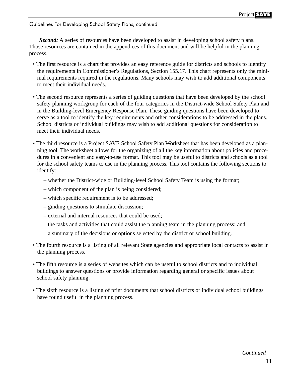**Second:** A series of resources have been developed to assist in developing school safety plans. Those resources are contained in the appendices of this document and will be helpful in the planning process.

- The first resource is a chart that provides an easy reference guide for districts and schools to identify the requirements in Commissioner's Regulations, Section 155.17. This chart represents only the minimal requirements required in the regulations. Many schools may wish to add additional components to meet their individual needs.
- The second resource represents a series of guiding questions that have been developed by the school safety planning workgroup for each of the four categories in the District-wide School Safety Plan and in the Building-level Emergency Response Plan. These guiding questions have been developed to serve as a tool to identify the key requirements and other considerations to be addressed in the plans. School districts or individual buildings may wish to add additional questions for consideration to meet their individual needs.
- The third resource is a Project SAVE School Safety Plan Worksheet that has been developed as a planning tool. The worksheet allows for the organizing of all the key information about policies and procedures in a convenient and easy-to-use format. This tool may be useful to districts and schools as a tool for the school safety teams to use in the planning process. This tool contains the following sections to identify:
	- whether the District-wide or Building-level School Safety Team is using the format;
	- which component of the plan is being considered;
	- which specific requirement is to be addressed;
	- guiding questions to stimulate discussion;
	- external and internal resources that could be used;
	- the tasks and activities that could assist the planning team in the planning process; and
	- a summary of the decisions or options selected by the district or school building.
- The fourth resource is a listing of all relevant State agencies and appropriate local contacts to assist in the planning process.
- The fifth resource is a series of websites which can be useful to school districts and to individual buildings to answer questions or provide information regarding general or specific issues about school safety planning.
- The sixth resource is a listing of print documents that school districts or individual school buildings have found useful in the planning process.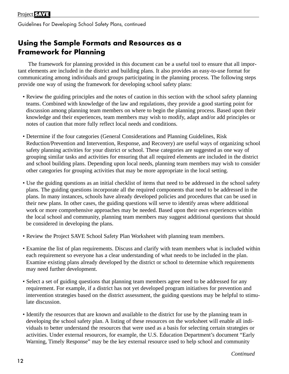## **Using the Sample Formats and Resources as a Framework for Planning**

The framework for planning provided in this document can be a useful tool to ensure that all important elements are included in the district and building plans. It also provides an easy-to-use format for communicating among individuals and groups participating in the planning process. The following steps provide one way of using the framework for developing school safety plans:

- Review the guiding principles and the notes of caution in this section with the school safety planning teams. Combined with knowledge of the law and regulations, they provide a good starting point for discussion among planning team members on where to begin the planning process. Based upon their knowledge and their experiences, team members may wish to modify, adapt and/or add principles or notes of caution that more fully reflect local needs and conditions.
- Determine if the four categories (General Considerations and Planning Guidelines, Risk Reduction/Prevention and Intervention, Response, and Recovery) are useful ways of organizing school safety planning activities for your district or school. These categories are suggested as one way of grouping similar tasks and activities for ensuring that all required elements are included in the district and school building plans. Depending upon local needs, planning team members may wish to consider other categories for grouping activities that may be more appropriate in the local setting.
- Use the guiding questions as an initial checklist of items that need to be addressed in the school safety plans. The guiding questions incorporate all the required components that need to be addressed in the plans. In many instances, schools have already developed policies and procedures that can be used in their new plans. In other cases, the guiding questions will serve to identify areas where additional work or more comprehensive approaches may be needed. Based upon their own experiences within the local school and community, planning team members may suggest additional questions that should be considered in developing the plans.
- Review the Project SAVE School Safety Plan Worksheet with planning team members.
- Examine the list of plan requirements. Discuss and clarify with team members what is included within each requirement so everyone has a clear understanding of what needs to be included in the plan. Examine existing plans already developed by the district or school to determine which requirements may need further development.
- Select a set of guiding questions that planning team members agree need to be addressed for any requirement. For example, if a district has not yet developed program initiatives for prevention and intervention strategies based on the district assessment, the guiding questions may be helpful to stimulate discussion.
- Identify the resources that are known and available to the district for use by the planning team in developing the school safety plan. A listing of these resources on the worksheet will enable all individuals to better understand the resources that were used as a basis for selecting certain strategies or activities. Under external resources, for example, the U.S. Education Department's document "Early Warning, Timely Response" may be the key external resource used to help school and community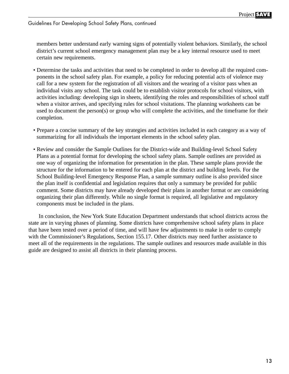members better understand early warning signs of potentially violent behaviors. Similarly, the school district's current school emergency management plan may be a key internal resource used to meet certain new requirements.

- Determine the tasks and activities that need to be completed in order to develop all the required components in the school safety plan. For example, a policy for reducing potential acts of violence may call for a new system for the registration of all visitors and the wearing of a visitor pass when an individual visits any school. The task could be to establish visitor protocols for school visitors, with activities including: developing sign in sheets, identifying the roles and responsibilities of school staff when a visitor arrives, and specifying rules for school visitations. The planning worksheets can be used to document the person(s) or group who will complete the activities, and the timeframe for their completion.
- Prepare a concise summary of the key strategies and activities included in each category as a way of summarizing for all individuals the important elements in the school safety plan.
- Review and consider the Sample Outlines for the District-wide and Building-level School Safety Plans as a potential format for developing the school safety plans. Sample outlines are provided as one way of organizing the information for presentation in the plan. These sample plans provide the structure for the information to be entered for each plan at the district and building levels. For the School Building-level Emergency Response Plan, a sample summary outline is also provided since the plan itself is confidential and legislation requires that only a summary be provided for public comment. Some districts may have already developed their plans in another format or are considering organizing their plan differently. While no single format is required, all legislative and regulatory components must be included in the plans.

In conclusion, the New York State Education Department understands that school districts across the state are in varying phases of planning. Some districts have comprehensive school safety plans in place that have been tested over a period of time, and will have few adjustments to make in order to comply with the Commissioner's Regulations, Section 155.17. Other districts may need further assistance to meet all of the requirements in the regulations. The sample outlines and resources made available in this guide are designed to assist all districts in their planning process.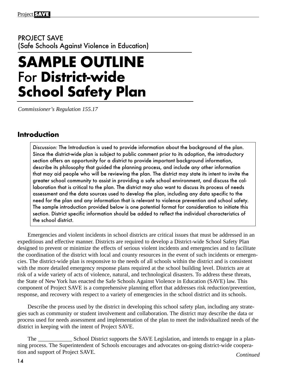## PROJECT SAVE (Safe Schools Against Violence in Education)

# **SAMPLE OUTLINE** For **District-wide School Safety Plan**

*Commissioner's Regulation 155.17*

## **Introduction**

Discussion: The Introduction is used to provide information about the background of the plan. Since the district-wide plan is subject to public comment prior to its adoption, the introductory section offers an opportunity for a district to provide important background information, describe its philosophy that guided the planning process, and include any other information that may aid people who will be reviewing the plan. The district may state its intent to invite the greater school community to assist in providing a safe school environment, and discuss the collaboration that is critical to the plan. The district may also want to discuss its process of needs assessment and the data sources used to develop the plan, including any data specific to the need for the plan and any information that is relevant to violence prevention and school safety. The sample introduction provided below is one potential format for consideration to initiate this section. District specific information should be added to reflect the individual characteristics of the school district.

Emergencies and violent incidents in school districts are critical issues that must be addressed in an expeditious and effective manner. Districts are required to develop a District-wide School Safety Plan designed to prevent or minimize the effects of serious violent incidents and emergencies and to facilitate the coordination of the district with local and county resources in the event of such incidents or emergencies. The district-wide plan is responsive to the needs of all schools within the district and is consistent with the more detailed emergency response plans required at the school building level. Districts are at risk of a wide variety of acts of violence, natural, and technological disasters. To address these threats, the State of New York has enacted the Safe Schools Against Violence in Education (SAVE) law. This component of Project SAVE is a comprehensive planning effort that addresses risk reduction/prevention, response, and recovery with respect to a variety of emergencies in the school district and its schools.

Describe the process used by the district in developing this school safety plan, including any strategies such as community or student involvement and collaboration. The district may describe the data or process used for needs assessment and implementation of the plan to meet the individualized needs of the district in keeping with the intent of Project SAVE.

School District supports the SAVE Legislation, and intends to engage in a planning process. The Superintendent of Schools encourages and advocates on-going district-wide cooperation and support of Project SAVE. *Continued*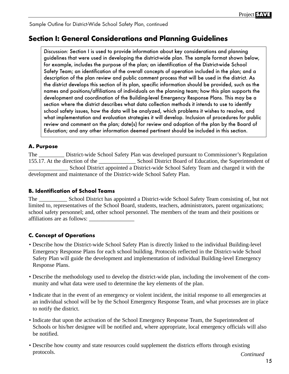## **Section I: General Considerations and Planning Guidelines**

Discussion: Section I is used to provide information about key considerations and planning guidelines that were used in developing the district-wide plan. The sample format shown below, for example, includes the purpose of the plan; an identification of the District-wide School Safety Team; an identification of the overall concepts of operation included in the plan; and a description of the plan review and public comment process that will be used in the district. As the district develops this section of its plan, specific information should be provided, such as the names and positions/affiliations of individuals on the planning team; how this plan supports the development and coordination of the Building-level Emergency Response Plans. This may be a section where the district describes what data collection methods it intends to use to identify school safety issues, how the data will be analyzed, which problems it wishes to resolve, and what implementation and evaluation strategies it will develop. Inclusion of procedures for public review and comment on the plan; date(s) for review and adoption of the plan by the Board of Education; and any other information deemed pertinent should be included in this section.

## **A. Purpose**

The <u>\_\_\_\_\_\_\_</u> District-wide School Safety Plan was developed pursuant to Commissioner's Regulation 155.17. At the direction of the \_\_\_\_\_\_\_\_\_\_\_\_\_ School District Board of Education, the Superintendent o School District Board of Education, the Superintendent of \_\_\_\_\_\_\_\_\_\_\_\_\_\_ School District appointed a District-wide School Safety Team and charged it with the development and maintenance of the District-wide School Safety Plan.

## **B. Identification of School Teams**

The \_\_\_\_\_\_\_\_\_\_ School District has appointed a District-wide School Safety Team consisting of, but not limited to, representatives of the School Board, students, teachers, administrators, parent organizations; school safety personnel; and, other school personnel. The members of the team and their positions or affiliations are as follows: \_\_\_\_\_\_\_\_\_\_\_\_\_\_\_\_

## **C. Concept of Operations**

- Describe how the District-wide School Safety Plan is directly linked to the individual Building-level Emergency Response Plans for each school building. Protocols reflected in the District-wide School Safety Plan will guide the development and implementation of individual Building-level Emergency Response Plans.
- Describe the methodology used to develop the district-wide plan, including the involvement of the community and what data were used to determine the key elements of the plan.
- Indicate that in the event of an emergency or violent incident, the initial response to all emergencies at an individual school will be by the School Emergency Response Team, and what processes are in place to notify the district.
- Indicate that upon the activation of the School Emergency Response Team, the Superintendent of Schools or his/her designee will be notified and, where appropriate, local emergency officials will also be notified.
- *Continued* • Describe how county and state resources could supplement the districts efforts through existing protocols.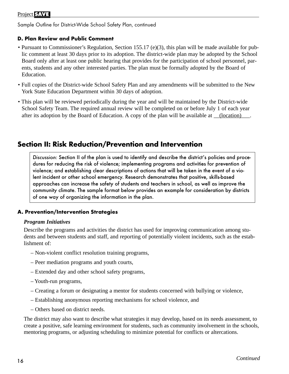## **D. Plan Review and Public Comment**

- Pursuant to Commissioner's Regulation, Section 155.17 (e)(3), this plan will be made available for public comment at least 30 days prior to its adoption. The district-wide plan may be adopted by the School Board only after at least one public hearing that provides for the participation of school personnel, parents, students and any other interested parties. The plan must be formally adopted by the Board of Education.
- Full copies of the District-wide School Safety Plan and any amendments will be submitted to the New York State Education Department within 30 days of adoption.
- This plan will be reviewed periodically during the year and will be maintained by the District-wide School Safety Team. The required annual review will be completed on or before July 1 of each year after its adoption by the Board of Education. A copy of the plan will be available at (location).

## **Section II: Risk Reduction/Prevention and Intervention**

Discussion: Section II of the plan is used to identify and describe the district's policies and procedures for reducing the risk of violence; implementing programs and activities for prevention of violence; and establishing clear descriptions of actions that will be taken in the event of a violent incident or other school emergency. Research demonstrates that positive, skills-based approaches can increase the safety of students and teachers in school, as well as improve the community climate. The sample format below provides an example for consideration by districts of one way of organizing the information in the plan.

## **A. Prevention/Intervention Strategies**

#### *Program Initiatives*

Describe the programs and activities the district has used for improving communication among students and between students and staff, and reporting of potentially violent incidents, such as the establishment of:

- Non-violent conflict resolution training programs,
- Peer mediation programs and youth courts,
- Extended day and other school safety programs,
- Youth-run programs,
- Creating a forum or designating a mentor for students concerned with bullying or violence,
- Establishing anonymous reporting mechanisms for school violence, and
- Others based on district needs.

The district may also want to describe what strategies it may develop, based on its needs assessment, to create a positive, safe learning environment for students, such as community involvement in the schools, mentoring programs, or adjusting scheduling to minimize potential for conflicts or altercations.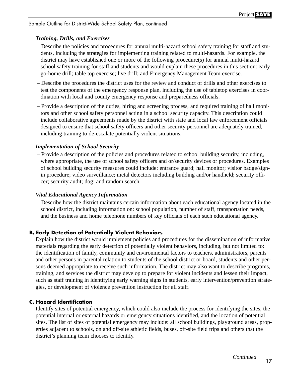## *Training, Drills, and Exercises*

- Describe the policies and procedures for annual multi-hazard school safety training for staff and students, including the strategies for implementing training related to multi-hazards. For example, the district may have established one or more of the following procedure(s) for annual multi-hazard school safety training for staff and students and would explain these procedures in this section: early go-home drill; table top exercise; live drill; and Emergency Management Team exercise.
- Describe the procedures the district uses for the review and conduct of drills and other exercises to test the components of the emergency response plan, including the use of tabletop exercises in coordination with local and county emergency response and preparedness officials.
- Provide a description of the duties, hiring and screening process, and required training of hall monitors and other school safety personnel acting in a school security capacity. This description could include collaborative agreements made by the district with state and local law enforcement officials designed to ensure that school safety officers and other security personnel are adequately trained, including training to de-escalate potentially violent situations.

## *Implementation of School Security*

– Provide a description of the policies and procedures related to school building security, including, where appropriate, the use of school safety officers and or/security devices or procedures. Examples of school building security measures could include: entrance guard; hall monitor; visitor badge/signin procedure; video surveillance; metal detectors including building and/or handheld; security officer; security audit; dog; and random search.

## *Vital Educational Agency Information*

– Describe how the district maintains certain information about each educational agency located in the school district, including information on: school population, number of staff, transportation needs, and the business and home telephone numbers of key officials of each such educational agency.

## **B. Early Detection of Potentially Violent Behaviors**

Explain how the district would implement policies and procedures for the dissemination of informative materials regarding the early detection of potentially violent behaviors, including, but not limited to: the identification of family, community and environmental factors to teachers, administrators, parents and other persons in parental relation to students of the school district or board, students and other persons deemed appropriate to receive such information. The district may also want to describe programs, training, and services the district may develop to prepare for violent incidents and lessen their impact, such as staff training in identifying early warning signs in students, early intervention/prevention strategies, or development of violence prevention instruction for all staff.

## **C. Hazard Identification**

Identify sites of potential emergency, which could also include the process for identifying the sites, the potential internal or external hazards or emergency situations identified, and the location of potential sites. The list of sites of potential emergency may include: all school buildings, playground areas, properties adjacent to schools, on and off-site athletic fields, buses, off-site field trips and others that the district's planning team chooses to identify.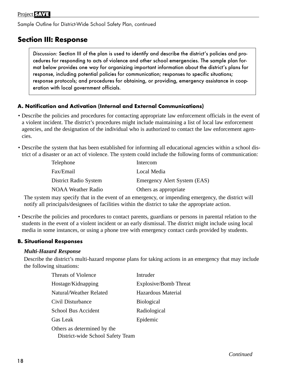## **Section III: Response**

Discussion: Section III of the plan is used to identify and describe the district's policies and procedures for responding to acts of violence and other school emergencies. The sample plan format below provides one way for organizing important information about the district's plans for response, including potential policies for communication; responses to specific situations; response protocols; and procedures for obtaining, or providing, emergency assistance in cooperation with local government officials.

## **A. Notification and Activation (Internal and External Communications)**

- Describe the policies and procedures for contacting appropriate law enforcement officials in the event of a violent incident. The district's procedures might include maintaining a list of local law enforcement agencies, and the designation of the individual who is authorized to contact the law enforcement agencies.
- Describe the system that has been established for informing all educational agencies within a school district of a disaster or an act of violence. The system could include the following forms of communication:

| Telephone                 | Intercom                     |
|---------------------------|------------------------------|
| Fax/Email                 | Local Media                  |
| District Radio System     | Emergency Alert System (EAS) |
| <b>NOAA Weather Radio</b> | Others as appropriate        |

The system may specify that in the event of an emergency, or impending emergency, the district will notify all principals/designees of facilities within the district to take the appropriate action.

• Describe the policies and procedures to contact parents, guardians or persons in parental relation to the students in the event of a violent incident or an early dismissal. The district might include using local media in some instances, or using a phone tree with emergency contact cards provided by students.

## **B. Situational Responses**

#### *Multi-Hazard Response*

Describe the district's multi-hazard response plans for taking actions in an emergency that may include the following situations:

| <b>Threats of Violence</b>       | Intruder              |
|----------------------------------|-----------------------|
| Hostage/Kidnapping               | Explosive/Bomb Threat |
| Natural/Weather Related          | Hazardous Material    |
| Civil Disturbance                | <b>Biological</b>     |
| School Bus Accident              | Radiological          |
| Gas Leak                         | Epidemic              |
| Others as determined by the      |                       |
| District-wide School Safety Team |                       |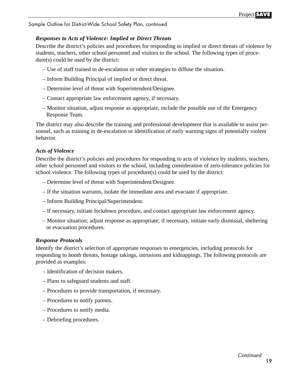## *Responses to Acts of Violence: Implied or Direct Threats*

Describe the district's policies and procedures for responding to implied or direct threats of violence by students, teachers, other school personnel and visitors to the school. The following types of procedure(s) could be used by the district:

- Use of staff trained in de-escalation or other strategies to diffuse the situation.
- Inform Building Principal of implied or direct threat.
- Determine level of threat with Superintendent/Designee.
- Contact appropriate law enforcement agency, if necessary.
- Monitor situation, adjust response as appropriate, include the possible use of the Emergency Response Team.

The district may also describe the training and professional development that is available to assist personnel, such as training in de-escalation or identification of early warning signs of potentially violent behavior.

## *Acts of Violence*

Describe the district's policies and procedures for responding to acts of violence by students, teachers, other school personnel and visitors to the school, including consideration of zero-tolerance policies for school violence. The following types of procedure(s) could be used by the district:

- Determine level of threat with Superintendent/Designee.
- If the situation warrants, isolate the immediate area and evacuate if appropriate.
- Inform Building Principal/Superintendent.
- If necessary, initiate lockdown procedure, and contact appropriate law enforcement agency.
- Monitor situation; adjust response as appropriate; if necessary, initiate early dismissal, sheltering or evacuation procedures.

## *Response Protocols*

Identify the district's selection of appropriate responses to emergencies, including protocols for responding to bomb threats, hostage takings, intrusions and kidnappings. The following protocols are provided as examples:

- Identification of decision makers.
- Plans to safeguard students and staff.
- Procedures to provide transportation, if necessary.
- Procedures to notify parents.
- Procedures to notify media.
- Debriefing procedures.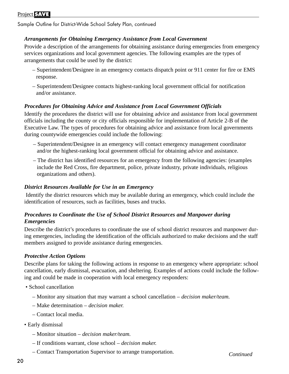## Project **SAVE**

Sample Outline for District-Wide School Safety Plan, continued

### *Arrangements for Obtaining Emergency Assistance from Local Government*

Provide a description of the arrangements for obtaining assistance during emergencies from emergency services organizations and local government agencies. The following examples are the types of arrangements that could be used by the district:

- Superintendent/Designee in an emergency contacts dispatch point or 911 center for fire or EMS response.
- Superintendent/Designee contacts highest-ranking local government official for notification and/or assistance.

#### *Procedures for Obtaining Advice and Assistance from Local Government Officials*

Identify the procedures the district will use for obtaining advice and assistance from local government officials including the county or city officials responsible for implementation of Article 2-B of the Executive Law. The types of procedures for obtaining advice and assistance from local governments during countywide emergencies could include the following:

- Superintendent/Designee in an emergency will contact emergency management coordinator and/or the highest-ranking local government official for obtaining advice and assistance.
- The district has identified resources for an emergency from the following agencies: (examples include the Red Cross, fire department, police, private industry, private individuals, religious organizations and others).

#### *District Resources Available for Use in an Emergency*

Identify the district resources which may be available during an emergency, which could include the identification of resources, such as facilities, buses and trucks.

## *Procedures to Coordinate the Use of School District Resources and Manpower during Emergencies*

Describe the district's procedures to coordinate the use of school district resources and manpower during emergencies, including the identification of the officials authorized to make decisions and the staff members assigned to provide assistance during emergencies.

#### *Protective Action Options*

Describe plans for taking the following actions in response to an emergency where appropriate: school cancellation, early dismissal, evacuation, and sheltering. Examples of actions could include the following and could be made in cooperation with local emergency responders:

- School cancellation
	- Monitor any situation that may warrant a school cancellation *decision maker/team.*
	- Make determination *decision maker.*
	- Contact local media.
- Early dismissal
	- Monitor situation *decision maker/team.*
	- If conditions warrant, close school *decision maker.*
	- Contact Transportation Supervisor to arrange transportation.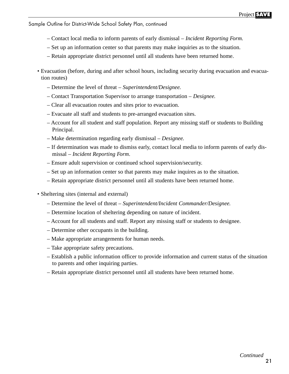- Contact local media to inform parents of early dismissal *Incident Reporting Form.*
- Set up an information center so that parents may make inquiries as to the situation.
- Retain appropriate district personnel until all students have been returned home.
- Evacuation (before, during and after school hours, including security during evacuation and evacuation routes)
	- Determine the level of threat *Superintendent/Designee.*
	- Contact Transportation Supervisor to arrange transportation *Designee.*
	- Clear all evacuation routes and sites prior to evacuation.
	- Evacuate all staff and students to pre-arranged evacuation sites.
	- Account for all student and staff population. Report any missing staff or students to Building Principal.
	- Make determination regarding early dismissal *Designee.*
	- If determination was made to dismiss early, contact local media to inform parents of early dismissal – *Incident Reporting Form*.
	- Ensure adult supervision or continued school supervision/security.
	- Set up an information center so that parents may make inquires as to the situation.
	- Retain appropriate district personnel until all students have been returned home.
- Sheltering sites (internal and external)
	- Determine the level of threat *Superintendent/Incident Commander/Designee.*
	- Determine location of sheltering depending on nature of incident.
	- Account for all students and staff. Report any missing staff or students to designee.
	- Determine other occupants in the building.
	- Make appropriate arrangements for human needs.
	- Take appropriate safety precautions.
	- Establish a public information officer to provide information and current status of the situation to parents and other inquiring parties.
	- Retain appropriate district personnel until all students have been returned home.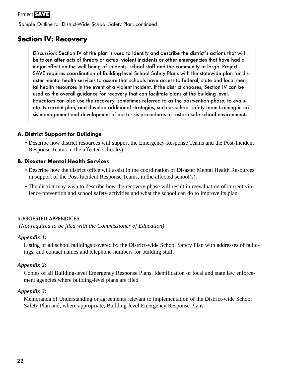## **Section IV: Recovery**

Discussion: Section IV of the plan is used to identify and describe the district's actions that will be taken after acts of threats or actual violent incidents or other emergencies that have had a major effect on the well being of students, school staff and the community at large. Project SAVE requires coordination of Building-level School Safety Plans with the statewide plan for disaster mental health services to assure that schools have access to federal, state and local mental health resources in the event of a violent incident. If the district chooses, Section IV can be used as the overall guidance for recovery that can facilitate plans at the building level. Educators can also use the recovery, sometimes referred to as the postvention phase, to evaluate its current plan, and develop additional strategies, such as school safety team training in crisis management and development of post-crisis procedures to restore safe school environments.

## **A. District Support for Buildings**

• Describe how district resources will support the Emergency Response Teams and the Post-Incident Response Teams in the affected school(s).

## **B. Disaster Mental Health Services**

- Describe how the district office will assist in the coordination of Disaster Mental Health Resources, in support of the Post-Incident Response Teams, in the affected school(s).
- The district may wish to describe how the recovery phase will result in reevaluation of current violence prevention and school safety activities and what the school can do to improve its plan.

## SUGGESTED APPENDICES

*(Not required to be filed with the Commissioner of Education)*

## *Appendix 1:*

Listing of all school buildings covered by the District-wide School Safety Plan with addresses of buildings, and contact names and telephone numbers for building staff.

## *Appendix 2:*

Copies of all Building-level Emergency Response Plans. Identification of local and state law enforcement agencies where building-level plans are filed.

## *Appendix 3:*

Memoranda of Understanding or agreements relevant to implementation of the District-wide School Safety Plan and, where appropriate, Building-level Emergency Response Plans.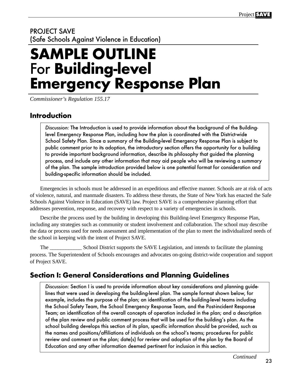## PROJECT SAVE (Safe Schools Against Violence in Education)

# **SAMPLE OUTLINE Emergency Response Plan**

*Commissioner's Regulation 155.17*

## **Introduction**

Discussion: The Introduction is used to provide information about the background of the Buildinglevel Emergency Response Plan, including how the plan is coordinated with the District-wide School Safety Plan. Since a summary of the Building-level Emergency Response Plan is subject to public comment prior to its adoption, the introductory section offers the opportunity for a building to provide important background information, describe its philosophy that guided the planning process, and include any other information that may aid people who will be reviewing a summary of the plan. The sample introduction provided below is one potential format for consideration and building-specific information should be included.

Emergencies in schools must be addressed in an expeditious and effective manner. Schools are at risk of acts of violence, natural, and manmade disasters. To address these threats, the State of New York has enacted the Safe Schools Against Violence in Education (SAVE) law. Project SAVE is a comprehensive planning effort that addresses prevention, response, and recovery with respect to a variety of emergencies in schools.

Describe the process used by the building in developing this Building-level Emergency Response Plan, including any strategies such as community or student involvement and collaboration. The school may describe the data or process used for needs assessment and implementation of the plan to meet the individualized needs of the school in keeping with the intent of Project SAVE.

School District supports the SAVE Legislation, and intends to facilitate the planning process. The Superintendent of Schools encourages and advocates on-going district-wide cooperation and support of Project SAVE.

## **Section I: General Considerations and Planning Guidelines**

Discussion: Section I is used to provide information about key considerations and planning guidelines that were used in developing the building-level plan. The sample format shown below, for example, includes the purpose of the plan; an identification of the building-level teams including the School Safety Team, the School Emergency Response Team, and the Post-incident Response Team; an identification of the overall concepts of operation included in the plan; and a description of the plan review and public comment process that will be used for the building's plan. As the school building develops this section of its plan, specific information should be provided, such as the names and positions/affiliations of individuals on the school's teams; procedures for public review and comment on the plan; date(s) for review and adoption of the plan by the Board of Education and any other information deemed pertinent for inclusion in this section.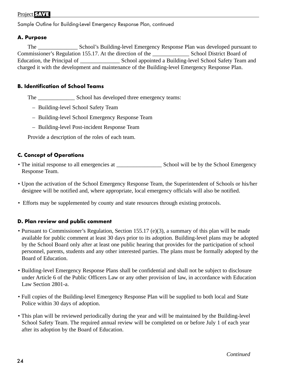## Project **SAVE**

Sample Outline for Building-Level Emergency Response Plan, continued

## **A. Purpose**

The School's Building-level Emergency Response Plan was developed pursuant to Commissioner's Regulation 155.17. At the direction of the School District Board of Education, the Principal of School appointed a Building-level School Safety Team and charged it with the development and maintenance of the Building-level Emergency Response Plan.

## **B. Identification of School Teams**

The \_\_\_\_\_\_\_\_\_\_\_\_\_\_\_\_\_\_\_\_\_ School has developed three emergency teams:

- Building-level School Safety Team
- Building-level School Emergency Response Team
- Building-level Post-incident Response Team

Provide a description of the roles of each team.

## **C. Concept of Operations**

- The initial response to all emergencies at School will be by the School Emergency Response Team.
- Upon the activation of the School Emergency Response Team, the Superintendent of Schools or his/her designee will be notified and, where appropriate, local emergency officials will also be notified.
- Efforts may be supplemented by county and state resources through existing protocols.

## **D. Plan review and public comment**

- Pursuant to Commissioner's Regulation, Section 155.17 (e)(3), a summary of this plan will be made available for public comment at least 30 days prior to its adoption. Building-level plans may be adopted by the School Board only after at least one public hearing that provides for the participation of school personnel, parents, students and any other interested parties. The plans must be formally adopted by the Board of Education.
- Building-level Emergency Response Plans shall be confidential and shall not be subject to disclosure under Article 6 of the Public Officers Law or any other provision of law, in accordance with Education Law Section 2801-a.
- Full copies of the Building-level Emergency Response Plan will be supplied to both local and State Police within 30 days of adoption.
- This plan will be reviewed periodically during the year and will be maintained by the Building-level School Safety Team. The required annual review will be completed on or before July 1 of each year after its adoption by the Board of Education.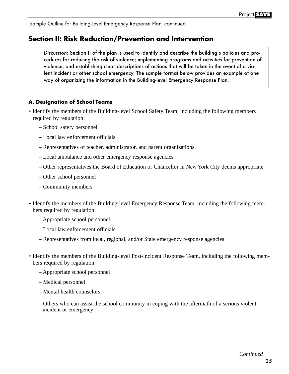## **Section II: Risk Reduction/Prevention and Intervention**

Discussion: Section II of the plan is used to identify and describe the building's policies and procedures for reducing the risk of violence; implementing programs and activities for prevention of violence; and establishing clear descriptions of actions that will be taken in the event of a violent incident or other school emergency. The sample format below provides an example of one way of organizing the information in the Building-level Emergency Response Plan.

## **A. Designation of School Teams**

- Identify the members of the Building-level School Safety Team, including the following members required by regulation:
	- School safety personnel
	- Local law enforcement officials
	- Representatives of teacher, administrator, and parent organizations
	- Local ambulance and other emergency response agencies
	- Other representatives the Board of Education or Chancellor in New York City deems appropriate
	- Other school personnel
	- Community members
- Identify the members of the Building-level Emergency Response Team, including the following members required by regulation:
	- Appropriate school personnel
	- Local law enforcement officials
	- Representatives from local, regional, and/or State emergency response agencies
- Identify the members of the Building-level Post-incident Response Team, including the following members required by regulation:
	- Appropriate school personnel
	- Medical personnel
	- Mental health counselors
	- Others who can assist the school community in coping with the aftermath of a serious violent incident or emergency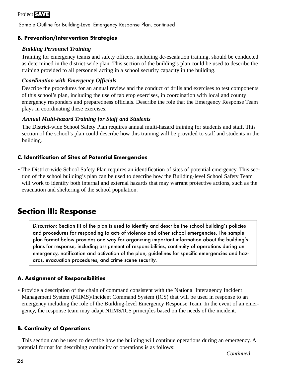## **B. Prevention/Intervention Strategies**

## *Building Personnel Training*

Training for emergency teams and safety officers, including de-escalation training, should be conducted as determined in the district-wide plan. This section of the building's plan could be used to describe the training provided to all personnel acting in a school security capacity in the building.

## *Coordination with Emergency Officials*

Describe the procedures for an annual review and the conduct of drills and exercises to test components of this school's plan, including the use of tabletop exercises, in coordination with local and county emergency responders and preparedness officials. Describe the role that the Emergency Response Team plays in coordinating these exercises.

## *Annual Multi-hazard Training for Staff and Students*

The District-wide School Safety Plan requires annual multi-hazard training for students and staff. This section of the school's plan could describe how this training will be provided to staff and students in the building.

## **C. Identification of Sites of Potential Emergencies**

• The District-wide School Safety Plan requires an identification of sites of potential emergency. This section of the school building's plan can be used to describe how the Building-level School Safety Team will work to identify both internal and external hazards that may warrant protective actions, such as the evacuation and sheltering of the school population.

## **Section III: Response**

Discussion: Section III of the plan is used to identify and describe the school building's policies and procedures for responding to acts of violence and other school emergencies. The sample plan format below provides one way for organizing important information about the building's plans for response, including assignment of responsibilities, continuity of operations during an emergency, notification and activation of the plan, guidelines for specific emergencies and hazards, evacuation procedures, and crime scene security.

## **A. Assignment of Responsibilities**

• Provide a description of the chain of command consistent with the National Interagency Incident Management System (NIIMS)/Incident Command System (ICS) that will be used in response to an emergency including the role of the Building-level Emergency Response Team. In the event of an emergency, the response team may adapt NIIMS/ICS principles based on the needs of the incident.

## **B. Continuity of Operations**

This section can be used to describe how the building will continue operations during an emergency. A potential format for describing continuity of operations is as follows: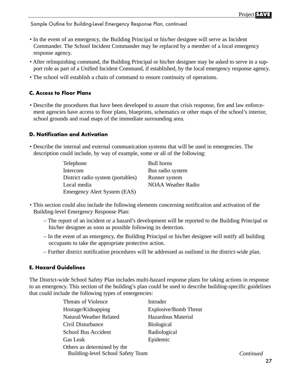- In the event of an emergency, the Building Principal or his/her designee will serve as Incident Commander. The School Incident Commander may be replaced by a member of a local emergency response agency.
- After relinquishing command, the Building Principal or his/her designee may be asked to serve in a support role as part of a Unified Incident Command, if established, by the local emergency response agency.
- The school will establish a chain of command to ensure continuity of operations.

## **C. Access to Floor Plans**

• Describe the procedures that have been developed to assure that crisis response, fire and law enforcement agencies have access to floor plans, blueprints, schematics or other maps of the school's interior, school grounds and road maps of the immediate surrounding area.

## **D. Notification and Activation**

- Describe the internal and external communication systems that will be used in emergencies. The description could include, by way of example, some or all of the following:
	- Telephone Bull horns Intercom Bus radio system District radio system (portables) Runner system Local media NOAA Weather Radio Emergency Alert System (EAS)

- This section could also include the following elements concerning notification and activation of the Building-level Emergency Response Plan:
	- The report of an incident or a hazard's development will be reported to the Building Principal or his/her designee as soon as possible following its detection.
	- In the event of an emergency, the Building Principal or his/her designee will notify all building occupants to take the appropriate protective action.
	- Further district notification procedures will be addressed as outlined in the district-wide plan.

## **E. Hazard Guidelines**

The District-wide School Safety Plan includes multi-hazard response plans for taking actions in response to an emergency. This section of the building's plan could be used to describe building-specific guidelines that could include the following types of emergencies:

| Threats of Violence                                                     | Intruder              |           |
|-------------------------------------------------------------------------|-----------------------|-----------|
| Hostage/Kidnapping                                                      | Explosive/Bomb Threat |           |
| Natural/Weather Related                                                 | Hazardous Material    |           |
| Civil Disturbance                                                       | <b>Biological</b>     |           |
| School Bus Accident                                                     | Radiological          |           |
| Gas Leak                                                                | Epidemic              |           |
| Others as determined by the<br><b>Building-level School Safety Team</b> |                       | Continued |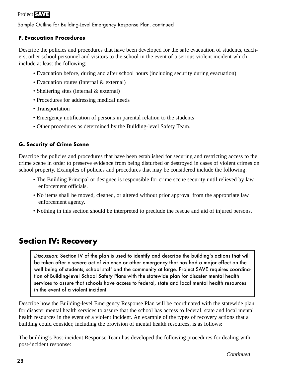## **F. Evacuation Procedures**

Describe the policies and procedures that have been developed for the safe evacuation of students, teachers, other school personnel and visitors to the school in the event of a serious violent incident which include at least the following:

- Evacuation before, during and after school hours (including security during evacuation)
- Evacuation routes (internal & external)
- Sheltering sites (internal & external)
- Procedures for addressing medical needs
- Transportation
- Emergency notification of persons in parental relation to the students
- Other procedures as determined by the Building-level Safety Team.

## **G. Security of Crime Scene**

Describe the policies and procedures that have been established for securing and restricting access to the crime scene in order to preserve evidence from being disturbed or destroyed in cases of violent crimes on school property. Examples of policies and procedures that may be considered include the following:

- The Building Principal or designee is responsible for crime scene security until relieved by law enforcement officials.
- No items shall be moved, cleaned, or altered without prior approval from the appropriate law enforcement agency.
- Nothing in this section should be interpreted to preclude the rescue and aid of injured persons.

## **Section IV: Recovery**

Discussion: Section IV of the plan is used to identify and describe the building's actions that will be taken after a severe act of violence or other emergency that has had a major effect on the well being of students, school staff and the community at large. Project SAVE requires coordination of Building-level School Safety Plans with the statewide plan for disaster mental health services to assure that schools have access to federal, state and local mental health resources in the event of a violent incident.

Describe how the Building-level Emergency Response Plan will be coordinated with the statewide plan for disaster mental health services to assure that the school has access to federal, state and local mental health resources in the event of a violent incident. An example of the types of recovery actions that a building could consider, including the provision of mental health resources, is as follows:

The building's Post-incident Response Team has developed the following procedures for dealing with post-incident response: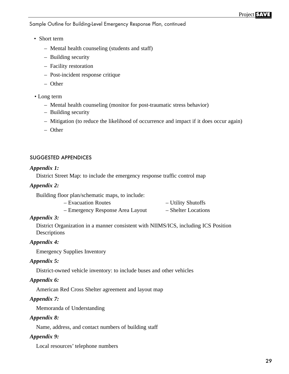- Short term
	- Mental health counseling (students and staff)
	- Building security
	- Facility restoration
	- Post-incident response critique
	- Other
- Long term
	- Mental health counseling (monitor for post-traumatic stress behavior)
	- Building security
	- Mitigation (to reduce the likelihood of occurrence and impact if it does occur again)
	- Other

#### SUGGESTED APPENDICES

#### *Appendix 1:*

District Street Map: to include the emergency response traffic control map

#### *Appendix 2:*

Building floor plan/schematic maps, to include:

- Evacuation Routes Utility Shutoffs
- Emergency Response Area Layout Shelter Locations

#### *Appendix 3:*

District Organization in a manner consistent with NIIMS/ICS, including ICS Position Descriptions

#### *Appendix 4:*

Emergency Supplies Inventory

#### *Appendix 5:*

District-owned vehicle inventory: to include buses and other vehicles

#### *Appendix 6:*

American Red Cross Shelter agreement and layout map

#### *Appendix 7:*

Memoranda of Understanding

#### *Appendix 8:*

Name, address, and contact numbers of building staff

#### *Appendix 9:*

Local resources' telephone numbers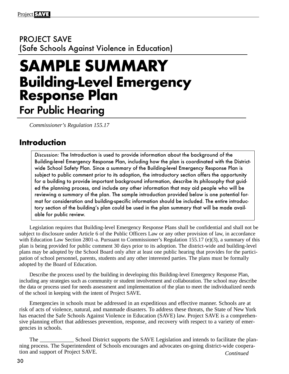PROJECT SAVE (Safe Schools Against Violence in Education)

## **SAMPLE SUMMARY Building-Level Emergency Response Plan** For Public Hearing

*Commissioner's Regulation 155.17*

## **Introduction**

Discussion: The Introduction is used to provide information about the background of the Building-level Emergency Response Plan, including how the plan is coordinated with the Districtwide School Safety Plan. Since a summary of the Building-level Emergency Response Plan is subject to public comment prior to its adoption, the introductory section offers the opportunity for a building to provide important background information, describe its philosophy that guided the planning process, and include any other information that may aid people who will be reviewing a summary of the plan. The sample introduction provided below is one potential format for consideration and building-specific information should be included. The entire introductory section of the building's plan could be used in the plan summary that will be made available for public review.

Legislation requires that Building-level Emergency Response Plans shall be confidential and shall not be subject to disclosure under Article 6 of the Public Officers Law or any other provision of law, in accordance with Education Law Section 2801-a. Pursuant to Commissioner's Regulation 155.17 (e)(3), a summary of this plan is being provided for public comment 30 days prior to its adoption. The district-wide and building-level plans may be adopted by the School Board only after at least one public hearing that provides for the participation of school personnel, parents, students and any other interested parties. The plans must be formally adopted by the Board of Education.

Describe the process used by the building in developing this Building-level Emergency Response Plan, including any strategies such as community or student involvement and collaboration. The school may describe the data or process used for needs assessment and implementation of the plan to meet the individualized needs of the school in keeping with the intent of Project SAVE.

Emergencies in schools must be addressed in an expeditious and effective manner. Schools are at risk of acts of violence, natural, and manmade disasters. To address these threats, the State of New York has enacted the Safe Schools Against Violence in Education (SAVE) law. Project SAVE is a comprehensive planning effort that addresses prevention, response, and recovery with respect to a variety of emergencies in schools.

The \_\_\_\_\_\_\_\_\_\_\_\_\_\_\_ School District supports the SAVE Legislation and intends to facilitate the planning process. The Superintendent of Schools encourages and advocates on-going district-wide cooperation and support of Project SAVE. *Continued*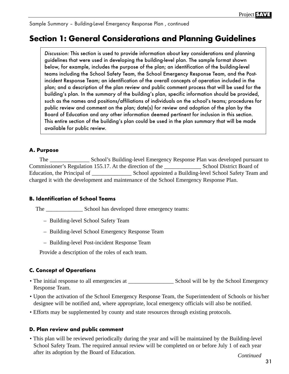Sample Summary – Building-Level Emergency Response Plan , continued

## **Section 1: General Considerations and Planning Guidelines**

Discussion: This section is used to provide information about key considerations and planning guidelines that were used in developing the building-level plan. The sample format shown below, for example, includes the purpose of the plan; an identification of the building-level teams including the School Safety Team, the School Emergency Response Team, and the Postincident Response Team; an identification of the overall concepts of operation included in the plan; and a description of the plan review and public comment process that will be used for the building's plan. In the summary of the building's plan, specific information should be provided, such as the names and positions/affiliations of individuals on the school's teams; procedures for public review and comment on the plan; date(s) for review and adoption of the plan by the Board of Education and any other information deemed pertinent for inclusion in this section. This entire section of the building's plan could be used in the plan summary that will be made available for public review.

## **A. Purpose**

The \_\_\_\_\_\_\_\_\_\_\_\_\_\_ School's Building-level Emergency Response Plan was developed pursuant to Commissioner's Regulation 155.17. At the direction of the School District Board of Education, the Principal of \_\_\_\_\_\_\_\_\_\_\_\_\_\_\_\_\_\_\_\_\_ School appointed a Building-level School Safety Team and charged it with the development and maintenance of the School Emergency Response Plan.

## **B. Identification of School Teams**

The \_\_\_\_\_\_\_\_\_\_\_\_\_\_\_\_\_\_\_\_\_ School has developed three emergency teams:

- Building-level School Safety Team
- Building-level School Emergency Response Team
- Building-level Post-incident Response Team

Provide a description of the roles of each team.

## **C. Concept of Operations**

- The initial response to all emergencies at  $\Box$  School will be by the School Emergency Response Team.
- Upon the activation of the School Emergency Response Team, the Superintendent of Schools or his/her designee will be notified and, where appropriate, local emergency officials will also be notified.
- Efforts may be supplemented by county and state resources through existing protocols.

## **D. Plan review and public comment**

• This plan will be reviewed periodically during the year and will be maintained by the Building-level School Safety Team. The required annual review will be completed on or before July 1 of each year after its adoption by the Board of Education. *Continued*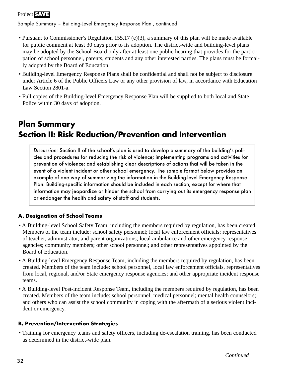## Project **SAVE**

Sample Summary – Building-Level Emergency Response Plan , continued

- Pursuant to Commissioner's Regulation 155.17 (e)(3), a summary of this plan will be made available for public comment at least 30 days prior to its adoption. The district-wide and building-level plans may be adopted by the School Board only after at least one public hearing that provides for the participation of school personnel, parents, students and any other interested parties. The plans must be formally adopted by the Board of Education.
- Building-level Emergency Response Plans shall be confidential and shall not be subject to disclosure under Article 6 of the Public Officers Law or any other provision of law, in accordance with Education Law Section 2801-a.
- Full copies of the Building-level Emergency Response Plan will be supplied to both local and State Police within 30 days of adoption.

## **Plan Summary Section II: Risk Reduction/Prevention and Intervention**

Discussion: Section II of the school's plan is used to develop a summary of the building's policies and procedures for reducing the risk of violence; implementing programs and activities for prevention of violence; and establishing clear descriptions of actions that will be taken in the event of a violent incident or other school emergency. The sample format below provides an example of one way of summarizing the information in the Building-level Emergency Response Plan. Building-specific information should be included in each section, except for where that information may jeopardize or hinder the school from carrying out its emergency response plan or endanger the health and safety of staff and students.

## **A. Designation of School Teams**

- A Building-level School Safety Team, including the members required by regulation, has been created. Members of the team include: school safety personnel; local law enforcement officials; representatives of teacher, administrator, and parent organizations; local ambulance and other emergency response agencies; community members; other school personnel; and other representatives appointed by the Board of Education.
- A Building-level Emergency Response Team, including the members required by regulation, has been created. Members of the team include: school personnel, local law enforcement officials, representatives from local, regional, and/or State emergency response agencies; and other appropriate incident response teams.
- A Building-level Post-incident Response Team, including the members required by regulation, has been created. Members of the team include: school personnel; medical personnel; mental health counselors; and others who can assist the school community in coping with the aftermath of a serious violent incident or emergency.

## **B. Prevention/Intervention Strategies**

• Training for emergency teams and safety officers, including de-escalation training, has been conducted as determined in the district-wide plan.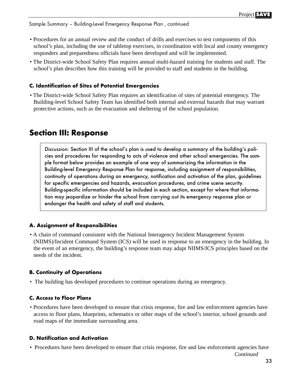Sample Summary – Building-Level Emergency Response Plan , continued

- Procedures for an annual review and the conduct of drills and exercises to test components of this school's plan, including the use of tabletop exercises, in coordination with local and county emergency responders and preparedness officials have been developed and will be implemented.
- The District-wide School Safety Plan requires annual multi-hazard training for students and staff. The school's plan describes how this training will be provided to staff and students in the building.

## **C. Identification of Sites of Potential Emergencies**

• The District-wide School Safety Plan requires an identification of sites of potential emergency. The Building-level School Safety Team has identified both internal and external hazards that may warrant protective actions, such as the evacuation and sheltering of the school population.

## **Section III: Response**

Discussion: Section III of the school's plan is used to develop a summary of the building's policies and procedures for responding to acts of violence and other school emergencies. The sample format below provides an example of one way of summarizing the information in the Building-level Emergency Response Plan for response, including assignment of responsibilities, continuity of operations during an emergency, notification and activation of the plan, guidelines for specific emergencies and hazards, evacuation procedures, and crime scene security. Building-specific information should be included in each section, except for where that information may jeopardize or hinder the school from carrying out its emergency response plan or endanger the health and safety of staff and students.

## **A. Assignment of Responsibilities**

• A chain of command consistent with the National Interagency Incident Management System (NIIMS)/Incident Command System (ICS) will be used in response to an emergency in the building. In the event of an emergency, the building's response team may adapt NIIMS/ICS principles based on the needs of the incident.

## **B. Continuity of Operations**

• The building has developed procedures to continue operations during an emergency.

## **C. Access to Floor Plans**

• Procedures have been developed to ensure that crisis response, fire and law enforcement agencies have access to floor plans, blueprints, schematics or other maps of the school's interior, school grounds and road maps of the immediate surrounding area.

## **D. Notification and Activation**

• Procedures have been developed to ensure that crisis response, fire and law enforcement agencies have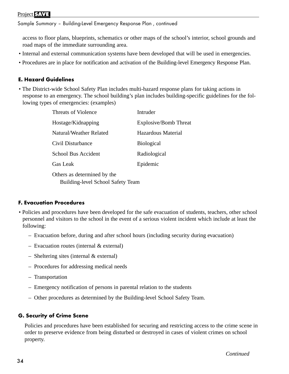## Project **SAVE**

Sample Summary – Building-Level Emergency Response Plan , continued

access to floor plans, blueprints, schematics or other maps of the school's interior, school grounds and road maps of the immediate surrounding area.

- Internal and external communication systems have been developed that will be used in emergencies.
- Procedures are in place for notification and activation of the Building-level Emergency Response Plan.

## **E. Hazard Guidelines**

• The District-wide School Safety Plan includes multi-hazard response plans for taking actions in response to an emergency. The school building's plan includes building-specific guidelines for the following types of emergencies: (examples)

| Threats of Violence                      | Intruder                     |  |
|------------------------------------------|------------------------------|--|
| Hostage/Kidnapping                       | <b>Explosive/Bomb Threat</b> |  |
| Natural/Weather Related                  | Hazardous Material           |  |
| Civil Disturbance                        | <b>Biological</b>            |  |
| School Bus Accident                      | Radiological                 |  |
| <b>Gas Leak</b>                          | Epidemic                     |  |
| Others as determined by the              |                              |  |
| <b>Building-level School Safety Team</b> |                              |  |

## **F. Evacuation Procedures**

- Policies and procedures have been developed for the safe evacuation of students, teachers, other school personnel and visitors to the school in the event of a serious violent incident which include at least the following:
	- Evacuation before, during and after school hours (including security during evacuation)
	- Evacuation routes (internal & external)
	- Sheltering sites (internal & external)
	- Procedures for addressing medical needs
	- Transportation
	- Emergency notification of persons in parental relation to the students
	- Other procedures as determined by the Building-level School Safety Team.

## **G. Security of Crime Scene**

Policies and procedures have been established for securing and restricting access to the crime scene in order to preserve evidence from being disturbed or destroyed in cases of violent crimes on school property.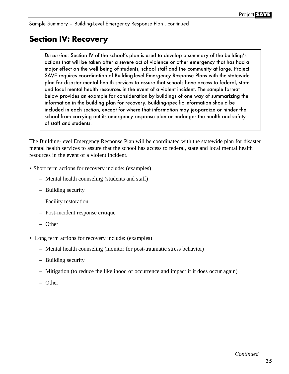Sample Summary – Building-Level Emergency Response Plan , continued

## **Section IV: Recovery**

Discussion: Section IV of the school's plan is used to develop a summary of the building's actions that will be taken after a severe act of violence or other emergency that has had a major effect on the well being of students, school staff and the community at large. Project SAVE requires coordination of Building-level Emergency Response Plans with the statewide plan for disaster mental health services to assure that schools have access to federal, state and local mental health resources in the event of a violent incident. The sample format below provides an example for consideration by buildings of one way of summarizing the information in the building plan for recovery. Building-specific information should be included in each section, except for where that information may jeopardize or hinder the school from carrying out its emergency response plan or endanger the health and safety of staff and students.

The Building-level Emergency Response Plan will be coordinated with the statewide plan for disaster mental health services to assure that the school has access to federal, state and local mental health resources in the event of a violent incident.

- Short term actions for recovery include: (examples)
	- Mental health counseling (students and staff)
	- Building security
	- Facility restoration
	- Post-incident response critique
	- Other
- Long term actions for recovery include: (examples)
	- Mental health counseling (monitor for post-traumatic stress behavior)
	- Building security
	- Mitigation (to reduce the likelihood of occurrence and impact if it does occur again)
	- Other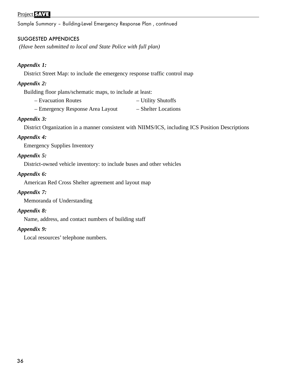Sample Summary – Building-Level Emergency Response Plan , continued

#### SUGGESTED APPENDICES

*(Have been submitted to local and State Police with full plan)*

#### *Appendix 1:*

District Street Map: to include the emergency response traffic control map

#### *Appendix 2:*

Building floor plans/schematic maps, to include at least:

- Evacuation Routes Utility Shutoffs
- Emergency Response Area Layout Shelter Locations

#### *Appendix 3:*

District Organization in a manner consistent with NIIMS/ICS, including ICS Position Descriptions

#### *Appendix 4:*

Emergency Supplies Inventory

#### *Appendix 5:*

District-owned vehicle inventory: to include buses and other vehicles

#### *Appendix 6:*

American Red Cross Shelter agreement and layout map

#### *Appendix 7:*

Memoranda of Understanding

#### *Appendix 8:*

Name, address, and contact numbers of building staff

#### *Appendix 9:*

Local resources' telephone numbers.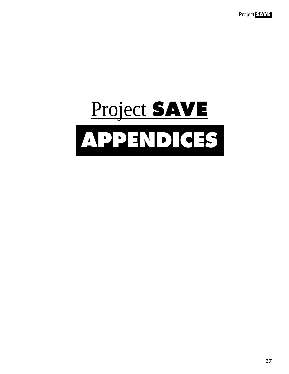# **APPENDICES** Project **SAVE**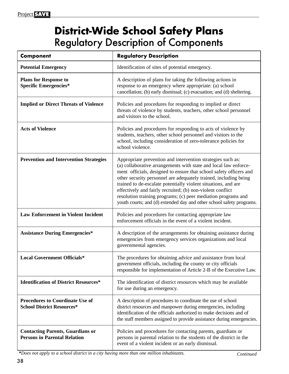# **District-Wide School Safety Plans** Regulatory Description of Components

| <b>Component</b>                                                               | <b>Regulatory Description</b>                                                                                                                                                                                                                                                                                                                                                                                                                                                                                                                      |
|--------------------------------------------------------------------------------|----------------------------------------------------------------------------------------------------------------------------------------------------------------------------------------------------------------------------------------------------------------------------------------------------------------------------------------------------------------------------------------------------------------------------------------------------------------------------------------------------------------------------------------------------|
| <b>Potential Emergency</b>                                                     | Identification of sites of potential emergency.                                                                                                                                                                                                                                                                                                                                                                                                                                                                                                    |
| <b>Plans for Response to</b><br><b>Specific Emergencies*</b>                   | A description of plans for taking the following actions in<br>response to an emergency where appropriate: (a) school<br>cancellation; (b) early dismissal; (c) evacuation; and (d) sheltering.                                                                                                                                                                                                                                                                                                                                                     |
| <b>Implied or Direct Threats of Violence</b>                                   | Policies and procedures for responding to implied or direct<br>threats of violence by students, teachers, other school personnel<br>and visitors to the school.                                                                                                                                                                                                                                                                                                                                                                                    |
| <b>Acts of Violence</b>                                                        | Policies and procedures for responding to acts of violence by<br>students, teachers, other school personnel and visitors to the<br>school, including consideration of zero-tolerance policies for<br>school violence.                                                                                                                                                                                                                                                                                                                              |
| <b>Prevention and Intervention Strategies</b>                                  | Appropriate prevention and intervention strategies such as:<br>(a) collaborative arrangements with state and local law enforce-<br>ment officials, designed to ensure that school safety officers and<br>other security personnel are adequately trained, including being<br>trained to de-escalate potentially violent situations, and are<br>effectively and fairly recruited; (b) non-violent conflict<br>resolution training programs; (c) peer mediation programs and<br>youth courts; and (d) extended day and other school safety programs. |
| <b>Law Enforcement in Violent Incident</b>                                     | Policies and procedures for contacting appropriate law<br>enforcement officials in the event of a violent incident.                                                                                                                                                                                                                                                                                                                                                                                                                                |
| <b>Assistance During Emergencies*</b>                                          | A description of the arrangements for obtaining assistance during<br>emergencies from emergency services organizations and local<br>governmental agencies.                                                                                                                                                                                                                                                                                                                                                                                         |
| <b>Local Government Officials*</b>                                             | The procedures for obtaining advice and assistance from local<br>government officials, including the county or city officials<br>responsible for implementation of Article 2-B of the Executive Law.                                                                                                                                                                                                                                                                                                                                               |
| <b>Identification of District Resources*</b>                                   | The identification of district resources which may be available<br>for use during an emergency.                                                                                                                                                                                                                                                                                                                                                                                                                                                    |
| <b>Procedures to Coordinate Use of</b><br><b>School District Resources*</b>    | A description of procedures to coordinate the use of school<br>district resources and manpower during emergencies, including<br>identification of the officials authorized to make decisions and of<br>the staff members assigned to provide assistance during emergencies.                                                                                                                                                                                                                                                                        |
| <b>Contacting Parents, Guardians or</b><br><b>Persons in Parental Relation</b> | Policies and procedures for contacting parents, guardians or<br>persons in parental relation to the students of the district in the<br>event of a violent incident or an early dismissal.                                                                                                                                                                                                                                                                                                                                                          |

**\****Does not apply to a school district in a city having more than one million inhabitants. Continued*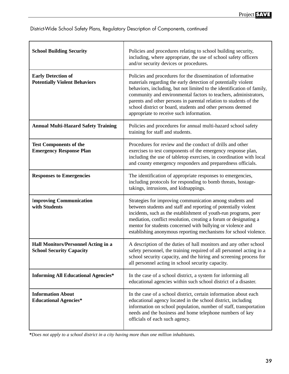District-Wide School Safety Plans, Regulatory Description of Components, continued

| <b>School Building Security</b>                                               | Policies and procedures relating to school building security,<br>including, where appropriate, the use of school safety officers<br>and/or security devices or procedures.                                                                                                                                                                                                                                                                                   |  |
|-------------------------------------------------------------------------------|--------------------------------------------------------------------------------------------------------------------------------------------------------------------------------------------------------------------------------------------------------------------------------------------------------------------------------------------------------------------------------------------------------------------------------------------------------------|--|
| <b>Early Detection of</b><br><b>Potentially Violent Behaviors</b>             | Policies and procedures for the dissemination of informative<br>materials regarding the early detection of potentially violent<br>behaviors, including, but not limited to the identification of family,<br>community and environmental factors to teachers, administrators,<br>parents and other persons in parental relation to students of the<br>school district or board, students and other persons deemed<br>appropriate to receive such information. |  |
| <b>Annual Multi-Hazard Safety Training</b>                                    | Policies and procedures for annual multi-hazard school safety<br>training for staff and students.                                                                                                                                                                                                                                                                                                                                                            |  |
| <b>Test Components of the</b><br><b>Emergency Response Plan</b>               | Procedures for review and the conduct of drills and other<br>exercises to test components of the emergency response plan,<br>including the use of tabletop exercises, in coordination with local<br>and county emergency responders and preparedness officials.                                                                                                                                                                                              |  |
| <b>Responses to Emergencies</b>                                               | The identification of appropriate responses to emergencies,<br>including protocols for responding to bomb threats, hostage-<br>takings, intrusions, and kidnappings.                                                                                                                                                                                                                                                                                         |  |
| <b>Improving Communication</b><br>with Students                               | Strategies for improving communication among students and<br>between students and staff and reporting of potentially violent<br>incidents, such as the establishment of youth-run programs, peer<br>mediation, conflict resolution, creating a forum or designating a<br>mentor for students concerned with bullying or violence and<br>establishing anonymous reporting mechanisms for school violence.                                                     |  |
| <b>Hall Monitors/Personnel Acting in a</b><br><b>School Security Capacity</b> | A description of the duties of hall monitors and any other school<br>safety personnel, the training required of all personnel acting in a<br>school security capacity, and the hiring and screening process for<br>all personnel acting in school security capacity.                                                                                                                                                                                         |  |
| <b>Informing All Educational Agencies*</b>                                    | In the case of a school district, a system for informing all<br>educational agencies within such school district of a disaster.                                                                                                                                                                                                                                                                                                                              |  |
| <b>Information About</b><br><b>Educational Agencies*</b>                      | In the case of a school district, certain information about each<br>educational agency located in the school district, including<br>information on school population, number of staff, transportation<br>needs and the business and home telephone numbers of key<br>officials of each such agency.                                                                                                                                                          |  |

**\****Does not apply to a school district in a city having more than one million inhabitants.*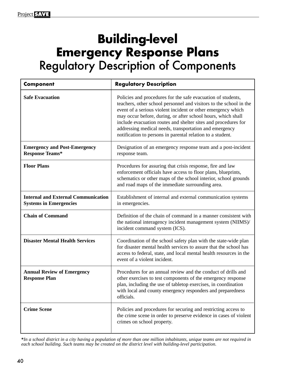# **Building-level Emergency Response Plans**  Regulatory Description of Components

| <b>Component</b>                                                            | <b>Regulatory Description</b>                                                                                                                                                                                                                                                                                                                                                                                                                                |
|-----------------------------------------------------------------------------|--------------------------------------------------------------------------------------------------------------------------------------------------------------------------------------------------------------------------------------------------------------------------------------------------------------------------------------------------------------------------------------------------------------------------------------------------------------|
| <b>Safe Evacuation</b>                                                      | Policies and procedures for the safe evacuation of students,<br>teachers, other school personnel and visitors to the school in the<br>event of a serious violent incident or other emergency which<br>may occur before, during, or after school hours, which shall<br>include evacuation routes and shelter sites and procedures for<br>addressing medical needs, transportation and emergency<br>notification to persons in parental relation to a student. |
| <b>Emergency and Post-Emergency</b><br><b>Response Teams*</b>               | Designation of an emergency response team and a post-incident<br>response team.                                                                                                                                                                                                                                                                                                                                                                              |
| <b>Floor Plans</b>                                                          | Procedures for assuring that crisis response, fire and law<br>enforcement officials have access to floor plans, blueprints,<br>schematics or other maps of the school interior, school grounds<br>and road maps of the immediate surrounding area.                                                                                                                                                                                                           |
| <b>Internal and External Communication</b><br><b>Systems in Emergencies</b> | Establishment of internal and external communication systems<br>in emergencies.                                                                                                                                                                                                                                                                                                                                                                              |
| <b>Chain of Command</b>                                                     | Definition of the chain of command in a manner consistent with<br>the national interagency incident management system (NIIMS)/<br>incident command system (ICS).                                                                                                                                                                                                                                                                                             |
| <b>Disaster Mental Health Services</b>                                      | Coordination of the school safety plan with the state-wide plan<br>for disaster mental health services to assure that the school has<br>access to federal, state, and local mental health resources in the<br>event of a violent incident.                                                                                                                                                                                                                   |
| <b>Annual Review of Emergency</b><br><b>Response Plan</b>                   | Procedures for an annual review and the conduct of drills and<br>other exercises to test components of the emergency response<br>plan, including the use of tabletop exercises, in coordination<br>with local and county emergency responders and preparedness<br>officials.                                                                                                                                                                                 |
| <b>Crime Scene</b>                                                          | Policies and procedures for securing and restricting access to<br>the crime scene in order to preserve evidence in cases of violent<br>crimes on school property.                                                                                                                                                                                                                                                                                            |

**\****In a school district in a city having a population of more than one million inhabitants, unique teams are not required in each school building. Such teams may be created on the district level with building-level participation.*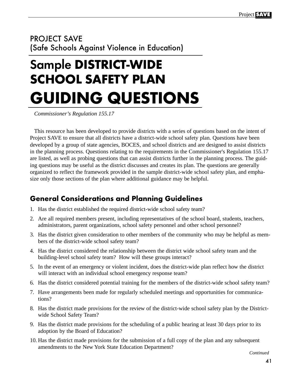# PROJECT SAVE (Safe Schools Against Violence in Education)

# Sample **DISTRICT-WIDE SCHOOL SAFETY PLAN GUIDING QUESTIONS**

*Commissioner's Regulation 155.17*

This resource has been developed to provide districts with a series of questions based on the intent of Project SAVE to ensure that all districts have a district-wide school safety plan. Questions have been developed by a group of state agencies, BOCES, and school districts and are designed to assist districts in the planning process. Questions relating to the requirements in the Commissioner's Regulation 155.17 are listed, as well as probing questions that can assist districts further in the planning process. The guiding questions may be useful as the district discusses and creates its plan. The questions are generally organized to reflect the framework provided in the sample district-wide school safety plan, and emphasize only those sections of the plan where additional guidance may be helpful.

## **General Considerations and Planning Guidelines**

- 1. Has the district established the required district-wide school safety team?
- 2. Are all required members present, including representatives of the school board, students, teachers, administrators, parent organizations, school safety personnel and other school personnel?
- 3. Has the district given consideration to other members of the community who may be helpful as members of the district-wide school safety team?
- 4. Has the district considered the relationship between the district wide school safety team and the building-level school safety team? How will these groups interact?
- 5. In the event of an emergency or violent incident, does the district-wide plan reflect how the district will interact with an individual school emergency response team?
- 6. Has the district considered potential training for the members of the district-wide school safety team?
- 7. Have arrangements been made for regularly scheduled meetings and opportunities for communications?
- 8. Has the district made provisions for the review of the district-wide school safety plan by the Districtwide School Safety Team?
- 9. Has the district made provisions for the scheduling of a public hearing at least 30 days prior to its adoption by the Board of Education?
- 10. Has the district made provisions for the submission of a full copy of the plan and any subsequent amendments to the New York State Education Department?

*Continued*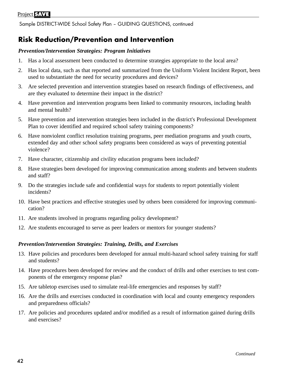Sample DISTRICT-WIDE School Safety Plan – GUIDING QUESTIONS, continued

### **Risk Reduction/Prevention and Intervention**

#### *Prevention/Intervention Strategies: Program Initiatives*

- 1. Has a local assessment been conducted to determine strategies appropriate to the local area?
- 2. Has local data, such as that reported and summarized from the Uniform Violent Incident Report, been used to substantiate the need for security procedures and devices?
- 3. Are selected prevention and intervention strategies based on research findings of effectiveness, and are they evaluated to determine their impact in the district?
- 4. Have prevention and intervention programs been linked to community resources, including health and mental health?
- 5. Have prevention and intervention strategies been included in the district's Professional Development Plan to cover identified and required school safety training components?
- 6. Have nonviolent conflict resolution training programs, peer mediation programs and youth courts, extended day and other school safety programs been considered as ways of preventing potential violence?
- 7. Have character, citizenship and civility education programs been included?
- 8. Have strategies been developed for improving communication among students and between students and staff?
- 9. Do the strategies include safe and confidential ways for students to report potentially violent incidents?
- 10. Have best practices and effective strategies used by others been considered for improving communication?
- 11. Are students involved in programs regarding policy development?
- 12. Are students encouraged to serve as peer leaders or mentors for younger students?

#### *Prevention/Intervention Strategies: Training, Drills, and Exercises*

- 13. Have policies and procedures been developed for annual multi-hazard school safety training for staff and students?
- 14. Have procedures been developed for review and the conduct of drills and other exercises to test components of the emergency response plan?
- 15. Are tabletop exercises used to simulate real-life emergencies and responses by staff?
- 16. Are the drills and exercises conducted in coordination with local and county emergency responders and preparedness officials?
- 17. Are policies and procedures updated and/or modified as a result of information gained during drills and exercises?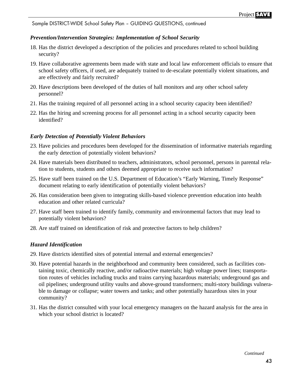Sample DISTRICT-WIDE School Safety Plan – GUIDING QUESTIONS, continued

#### *Prevention/Intervention Strategies: Implementation of School Security*

- 18. Has the district developed a description of the policies and procedures related to school building security?
- 19. Have collaborative agreements been made with state and local law enforcement officials to ensure that school safety officers, if used, are adequately trained to de-escalate potentially violent situations, and are effectively and fairly recruited?
- 20. Have descriptions been developed of the duties of hall monitors and any other school safety personnel?
- 21. Has the training required of all personnel acting in a school security capacity been identified?
- 22. Has the hiring and screening process for all personnel acting in a school security capacity been identified?

#### *Early Detection of Potentially Violent Behaviors*

- 23. Have policies and procedures been developed for the dissemination of informative materials regarding the early detection of potentially violent behaviors?
- 24. Have materials been distributed to teachers, administrators, school personnel, persons in parental relation to students, students and others deemed appropriate to receive such information?
- 25. Have staff been trained on the U.S. Department of Education's "Early Warning, Timely Response" document relating to early identification of potentially violent behaviors?
- 26. Has consideration been given to integrating skills-based violence prevention education into health education and other related curricula?
- 27. Have staff been trained to identify family, community and environmental factors that may lead to potentially violent behaviors?
- 28. Are staff trained on identification of risk and protective factors to help children?

#### *Hazard Identification*

- 29. Have districts identified sites of potential internal and external emergencies?
- 30. Have potential hazards in the neighborhood and community been considered, such as facilities containing toxic, chemically reactive, and/or radioactive materials; high voltage power lines; transportation routes of vehicles including trucks and trains carrying hazardous materials; underground gas and oil pipelines; underground utility vaults and above-ground transformers; multi-story buildings vulnerable to damage or collapse; water towers and tanks; and other potentially hazardous sites in your community?
- 31. Has the district consulted with your local emergency managers on the hazard analysis for the area in which your school district is located?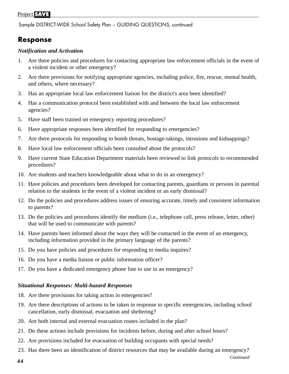Sample DISTRICT-WIDE School Safety Plan – GUIDING QUESTIONS, continued

### **Response**

#### *Notification and Activation*

- 1. Are there policies and procedures for contacting appropriate law enforcement officials in the event of a violent incident or other emergency?
- 2. Are there provisions for notifying appropriate agencies, including police, fire, rescue, mental health, and others, where necessary?
- 3. Has an appropriate local law enforcement liaison for the district's area been identified?
- 4. Has a communication protocol been established with and between the local law enforcement agencies?
- 5. Have staff been trained on emergency reporting procedures?
- 6. Have appropriate responses been identified for responding to emergencies?
- 7. Are there protocols for responding to bomb threats, hostage-takings, intrusions and kidnappings?
- 8. Have local law enforcement officials been consulted about the protocols?
- 9. Have current State Education Department materials been reviewed to link protocols to recommended procedures?
- 10. Are students and teachers knowledgeable about what to do in an emergency?
- 11. Have policies and procedures been developed for contacting parents, guardians or persons in parental relation to the students in the event of a violent incident or an early dismissal?
- 12. Do the policies and procedures address issues of ensuring accurate, timely and consistent information to parents?
- 13. Do the policies and procedures identify the medium (i.e., telephone call, press release, letter, other) that will be used to communicate with parents?
- 14. Have parents been informed about the ways they will be contacted in the event of an emergency, including information provided in the primary language of the parents?
- 15. Do you have policies and procedures for responding to media inquires?
- 16. Do you have a media liaison or public information officer?
- 17. Do you have a dedicated emergency phone line to use in an emergency?

#### *Situational Responses: Multi-hazard Responses*

- 18. Are there provisions for taking action in emergencies?
- 19. Are there descriptions of actions to be taken in response to specific emergencies, including school cancellation, early dismissal, evacuation and sheltering?
- 20. Are both internal and external evacuation routes included in the plan?
- 21. Do these actions include provisions for incidents before, during and after school hours?
- 22. Are provisions included for evacuation of building occupants with special needs?
- 23. Has there been an identification of district resources that may be available during an emergency?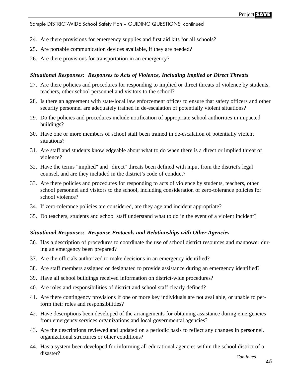Sample DISTRICT-WIDE School Safety Plan – GUIDING QUESTIONS, continued

- 24. Are there provisions for emergency supplies and first aid kits for all schools?
- 25. Are portable communication devices available, if they are needed?
- 26. Are there provisions for transportation in an emergency?

#### *Situational Responses: Responses to Acts of Violence, Including Implied or Direct Threats*

- 27. Are there policies and procedures for responding to implied or direct threats of violence by students, teachers, other school personnel and visitors to the school?
- 28. Is there an agreement with state/local law enforcement offices to ensure that safety officers and other security personnel are adequately trained in de-escalation of potentially violent situations?
- 29. Do the policies and procedures include notification of appropriate school authorities in impacted buildings?
- 30. Have one or more members of school staff been trained in de-escalation of potentially violent situations?
- 31. Are staff and students knowledgeable about what to do when there is a direct or implied threat of violence?
- 32. Have the terms "implied" and "direct" threats been defined with input from the district's legal counsel, and are they included in the district's code of conduct?
- 33. Are there policies and procedures for responding to acts of violence by students, teachers, other school personnel and visitors to the school, including consideration of zero-tolerance policies for school violence?
- 34. If zero-tolerance policies are considered, are they age and incident appropriate?
- 35. Do teachers, students and school staff understand what to do in the event of a violent incident?

#### *Situational Responses: Response Protocols and Relationships with Other Agencies*

- 36. Has a description of procedures to coordinate the use of school district resources and manpower during an emergency been prepared?
- 37. Are the officials authorized to make decisions in an emergency identified?
- 38. Are staff members assigned or designated to provide assistance during an emergency identified?
- 39. Have all school buildings received information on district-wide procedures?
- 40. Are roles and responsibilities of district and school staff clearly defined?
- 41. Are there contingency provisions if one or more key individuals are not available, or unable to perform their roles and responsibilities?
- 42. Have descriptions been developed of the arrangements for obtaining assistance during emergencies from emergency services organizations and local governmental agencies?
- 43. Are the descriptions reviewed and updated on a periodic basis to reflect any changes in personnel, organizational structures or other conditions?
- 44. Has a system been developed for informing all educational agencies within the school district of a disaster? *Continued*

45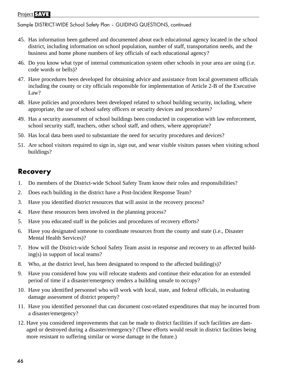Sample DISTRICT-WIDE School Safety Plan – GUIDING QUESTIONS, continued

- 45. Has information been gathered and documented about each educational agency located in the school district, including information on school population, number of staff, transportation needs, and the business and home phone numbers of key officials of each educational agency?
- 46. Do you know what type of internal communication system other schools in your area are using (i.e. code words or bells)?
- 47. Have procedures been developed for obtaining advice and assistance from local government officials including the county or city officials responsible for implementation of Article 2-B of the Executive Law?
- 48. Have policies and procedures been developed related to school building security, including, where appropriate, the use of school safety officers or security devices and procedures?
- 49. Has a security assessment of school buildings been conducted in cooperation with law enforcement, school security staff, teachers, other school staff, and others, where appropriate?
- 50. Has local data been used to substantiate the need for security procedures and devices?
- 51. Are school visitors required to sign in, sign out, and wear visible visitors passes when visiting school buildings?

### **Recovery**

- 1. Do members of the District-wide School Safety Team know their roles and responsibilities?
- 2. Does each building in the district have a Post-Incident Response Team?
- 3. Have you identified district resources that will assist in the recovery process?
- 4. Have these resources been involved in the planning process?
- 5. Have you educated staff in the policies and procedures of recovery efforts?
- 6. Have you designated someone to coordinate resources from the county and state (i.e., Disaster Mental Health Services)?
- 7. How will the District-wide School Safety Team assist in response and recovery to an affected building(s) in support of local teams?
- 8. Who, at the district level, has been designated to respond to the affected building(s)?
- 9. Have you considered how you will relocate students and continue their education for an extended period of time if a disaster/emergency renders a building unsafe to occupy?
- 10. Have you identified personnel who will work with local, state, and federal officials, in evaluating damage assessment of district property?
- 11. Have you identified personnel that can document cost-related expenditures that may be incurred from a disaster/emergency?
- 12. Have you considered improvements that can be made to district facilities if such facilities are damaged or destroyed during a disaster/emergency? (These efforts would result in district facilities being more resistant to suffering similar or worse damage in the future.)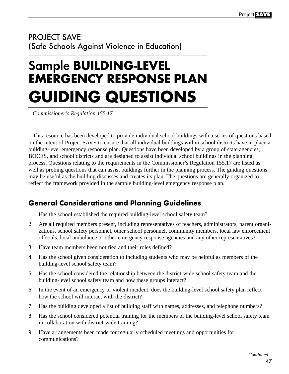## PROJECT SAVE (Safe Schools Against Violence in Education)

# Sample **BUILDING-LEVEL EMERGENCY RESPONSE PLAN GUIDING QUESTIONS**

*Commissioner's Regulation 155.17*

This resource has been developed to provide individual school buildings with a series of questions based on the intent of Project SAVE to ensure that all individual buildings within school districts have in place a building-level emergency response plan. Questions have been developed by a group of state agencies, BOCES, and school districts and are designed to assist individual school buildings in the planning process. Questions relating to the requirements in the Commissioner's Regulation 155.17 are listed as well as probing questions that can assist buildings further in the planning process. The guiding questions may be useful as the building discusses and creates its plan. The questions are generally organized to reflect the framework provided in the sample building-level emergency response plan.

# **General Considerations and Planning Guidelines**

- 1. Has the school established the required building-level school safety team?
- 2. Are all required members present, including representatives of teachers, administrators, parent organizations, school safety personnel, other school personnel, community members, local law enforcement officials, local ambulance or other emergency response agencies and any other representatives?
- 3. Have team members been notified and their roles defined?
- 4. Has the school given consideration to including students who may be helpful as members of the building-level school safety team?
- 5. Has the school considered the relationship between the district-wide school safety team and the building-level school safety team and how these groups interact?
- 6. In the event of an emergency or violent incident, does the building-level school safety plan reflect how the school will interact with the district?
- 7. Has the building developed a list of building staff with names, addresses, and telephone numbers?
- 8. Has the school considered potential training for the members of the building-level school safety team in collaboration with district-wide training?
- 9. Have arrangements been made for regularly scheduled meetings and opportunities for communications?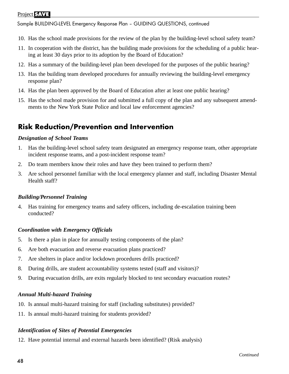Sample BUILDING-LEVEL Emergency Response Plan – GUIDING QUESTIONS, continued

- 10. Has the school made provisions for the review of the plan by the building-level school safety team?
- 11. In cooperation with the district, has the building made provisions for the scheduling of a public hearing at least 30 days prior to its adoption by the Board of Education?
- 12. Has a summary of the building-level plan been developed for the purposes of the public hearing?
- 13. Has the building team developed procedures for annually reviewing the building-level emergency response plan?
- 14. Has the plan been approved by the Board of Education after at least one public hearing?
- 15. Has the school made provision for and submitted a full copy of the plan and any subsequent amendments to the New York State Police and local law enforcement agencies?

### **Risk Reduction/Prevention and Intervention**

#### *Designation of School Teams*

- 1. Has the building-level school safety team designated an emergency response team, other appropriate incident response teams, and a post-incident response team?
- 2. Do team members know their roles and have they been trained to perform them?
- 3. Are school personnel familiar with the local emergency planner and staff, including Disaster Mental Health staff?

#### *Building/Personnel Training*

4. Has training for emergency teams and safety officers, including de-escalation training been conducted?

#### *Coordination with Emergency Officials*

- 5. Is there a plan in place for annually testing components of the plan?
- 6. Are both evacuation and reverse evacuation plans practiced?
- 7. Are shelters in place and/or lockdown procedures drills practiced?
- 8. During drills, are student accountability systems tested (staff and visitors)?
- 9. During evacuation drills, are exits regularly blocked to test secondary evacuation routes?

#### *Annual Multi-hazard Training*

- 10. Is annual multi-hazard training for staff (including substitutes) provided?
- 11. Is annual multi-hazard training for students provided?

#### *Identification of Sites of Potential Emergencies*

12. Have potential internal and external hazards been identified? (Risk analysis)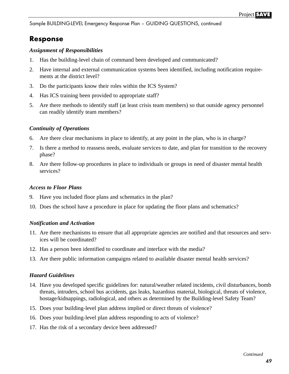Sample BUILDING-LEVEL Emergency Response Plan – GUIDING QUESTIONS, continued

### **Response**

#### *Assignment of Responsibilities*

- 1. Has the building-level chain of command been developed and communicated?
- 2. Have internal and external communication systems been identified, including notification requirements at the district level?
- 3. Do the participants know their roles within the ICS System?
- 4. Has ICS training been provided to appropriate staff?
- 5. Are there methods to identify staff (at least crisis team members) so that outside agency personnel can readily identify team members?

#### *Continuity of Operations*

- 6. Are there clear mechanisms in place to identify, at any point in the plan, who is in charge?
- 7. Is there a method to reassess needs, evaluate services to date, and plan for transition to the recovery phase?
- 8. Are there follow-up procedures in place to individuals or groups in need of disaster mental health services?

#### *Access to Floor Plans*

- 9. Have you included floor plans and schematics in the plan?
- 10. Does the school have a procedure in place for updating the floor plans and schematics?

#### *Notification and Activation*

- 11. Are there mechanisms to ensure that all appropriate agencies are notified and that resources and services will be coordinated?
- 12. Has a person been identified to coordinate and interface with the media?
- 13. Are there public information campaigns related to available disaster mental health services?

#### *Hazard Guidelines*

- 14. Have you developed specific guidelines for: natural/weather related incidents, civil disturbances, bomb threats, intruders, school bus accidents, gas leaks, hazardous material, biological, threats of violence, hostage/kidnappings, radiological, and others as determined by the Building-level Safety Team?
- 15. Does your building-level plan address implied or direct threats of violence?
- 16. Does your building-level plan address responding to acts of violence?
- 17. Has the risk of a secondary device been addressed?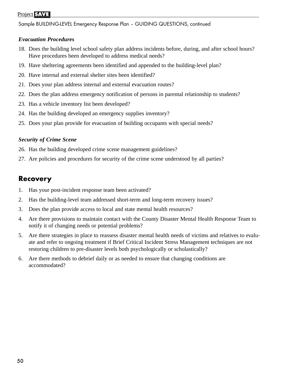Sample BUILDING-LEVEL Emergency Response Plan – GUIDING QUESTIONS, continued

#### *Evacuation Procedures*

- 18. Does the building level school safety plan address incidents before, during, and after school hours? Have procedures been developed to address medical needs?
- 19. Have sheltering agreements been identified and appended to the building-level plan?
- 20. Have internal and external shelter sites been identified?
- 21. Does your plan address internal and external evacuation routes?
- 22. Does the plan address emergency notification of persons in parental relationship to students?
- 23. Has a vehicle inventory list been developed?
- 24. Has the building developed an emergency supplies inventory?
- 25. Does your plan provide for evacuation of building occupants with special needs?

#### *Security of Crime Scene*

- 26. Has the building developed crime scene management guidelines?
- 27. Are policies and procedures for security of the crime scene understood by all parties?

### **Recovery**

- 1. Has your post-incident response team been activated?
- 2. Has the building-level team addressed short-term and long-term recovery issues?
- 3. Does the plan provide access to local and state mental health resources?
- 4. Are there provisions to maintain contact with the County Disaster Mental Health Response Team to notify it of changing needs or potential problems?
- 5. Are there strategies in place to reassess disaster mental health needs of victims and relatives to evaluate and refer to ongoing treatment if Brief Critical Incident Stress Management techniques are not restoring children to pre-disaster levels both psychologically or scholastically?
- 6. Are there methods to debrief daily or as needed to ensure that changing conditions are accommodated?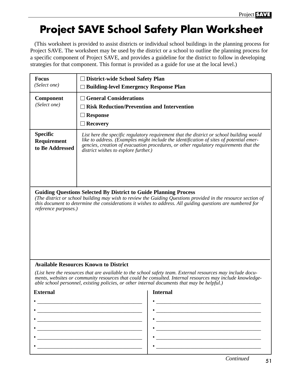# **Project SAVE School Safety Plan Worksheet**

(This worksheet is provided to assist districts or individual school buildings in the planning process for Project SAVE. The worksheet may be used by the district or a school to outline the planning process for a specific component of Project SAVE, and provides a guideline for the district to follow in developing strategies for that component. This format is provided as a guide for use at the local level.)

| <b>Focus</b><br>(Select one)                                                                                                                                                                                                                                                                                                   | <b>District-wide School Safety Plan</b><br>$\Box$ Building-level Emergency Response Plan                                                                                                                                                                                                                             |  |  |
|--------------------------------------------------------------------------------------------------------------------------------------------------------------------------------------------------------------------------------------------------------------------------------------------------------------------------------|----------------------------------------------------------------------------------------------------------------------------------------------------------------------------------------------------------------------------------------------------------------------------------------------------------------------|--|--|
| <b>Component</b><br>(Select one)                                                                                                                                                                                                                                                                                               | <b>General Considerations</b><br><b>Risk Reduction/Prevention and Intervention</b><br><b>Response</b><br><b>Recovery</b>                                                                                                                                                                                             |  |  |
| <b>Specific</b><br>Requirement<br>to Be Addressed                                                                                                                                                                                                                                                                              | List here the specific regulatory requirement that the district or school building would<br>like to address. (Examples might include the identification of sites of potential emer-<br>gencies, creation of evacuation procedures, or other regulatory requirements that the<br>district wishes to explore further.) |  |  |
| <b>Guiding Questions Selected By District to Guide Planning Process</b><br>(The district or school building may wish to review the Guiding Questions provided in the resource section of<br>this document to determine the considerations it wishes to address. All guiding questions are numbered for<br>reference purposes.) |                                                                                                                                                                                                                                                                                                                      |  |  |
|                                                                                                                                                                                                                                                                                                                                | <b>Available Resources Known to District</b>                                                                                                                                                                                                                                                                         |  |  |
| (List here the resources that are available to the school safety team. External resources may include docu-<br>ments, websites or community resources that could be consulted. Internal resources may include knowledge-<br>able school personnel, existing policies, or other internal documents that may be helpful.)        |                                                                                                                                                                                                                                                                                                                      |  |  |
| <b>External</b>                                                                                                                                                                                                                                                                                                                | <b>Internal</b>                                                                                                                                                                                                                                                                                                      |  |  |
|                                                                                                                                                                                                                                                                                                                                |                                                                                                                                                                                                                                                                                                                      |  |  |
|                                                                                                                                                                                                                                                                                                                                |                                                                                                                                                                                                                                                                                                                      |  |  |
|                                                                                                                                                                                                                                                                                                                                |                                                                                                                                                                                                                                                                                                                      |  |  |
|                                                                                                                                                                                                                                                                                                                                | the control of the control of the control of the control of the control of the control of the control of the control of the control of the control of the control of the control of the control of the control of the control                                                                                        |  |  |
|                                                                                                                                                                                                                                                                                                                                |                                                                                                                                                                                                                                                                                                                      |  |  |
|                                                                                                                                                                                                                                                                                                                                | Continued                                                                                                                                                                                                                                                                                                            |  |  |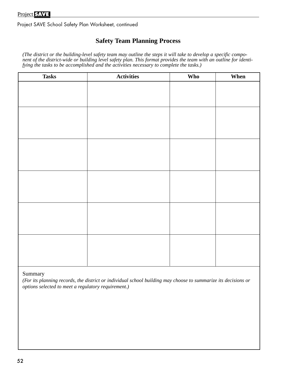Project SAVE School Safety Plan Worksheet, continued

#### **Safety Team Planning Process**

*(The district or the building-level safety team may outline the steps it will take to develop a specific component of the district-wide or building level safety plan. This format provides the team with an outline for identifying the tasks to be accomplished and the activities necessary to complete the tasks.)* 

| <b>Tasks</b> | <b>Activities</b> | Who | When |
|--------------|-------------------|-----|------|
|              |                   |     |      |
|              |                   |     |      |
|              |                   |     |      |
|              |                   |     |      |
|              |                   |     |      |
|              |                   |     |      |
|              |                   |     |      |
|              |                   |     |      |
|              |                   |     |      |
|              |                   |     |      |
|              |                   |     |      |
|              |                   |     |      |
|              |                   |     |      |
|              |                   |     |      |
|              |                   |     |      |
|              |                   |     |      |
|              |                   |     |      |
|              |                   |     |      |
|              |                   |     |      |

#### Summary

*(For its planning records, the district or individual school building may choose to summarize its decisions or options selected to meet a regulatory requirement.)*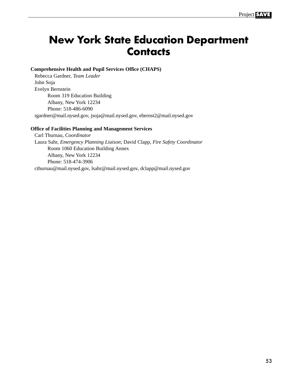# **New York State Education Department Contacts**

#### **Comprehensive Health and Pupil Services Office (CHAPS)**

Rebecca Gardner, *Team Leader* John Soja Evelyn Bernstein Room 319 Education Building Albany, New York 12234 Phone: 518-486-6090 rgardner@mail.nysed.gov, jsoja@mail.nysed.gov, ebernst2@mail.nysed.gov

#### **Office of Facilities Planning and Management Services**

Carl Thurnau, *Coordinator* Laura Sahr, *Emergency Planning Liaison*; David Clapp, *Fire Safety Coordinator* Room 1060 Education Building Annex Albany, New York 12234 Phone: 518-474-3906 cthurnau@mail.nysed.gov, lsahr@mail.nysed.gov, dclapp@mail.nysed.gov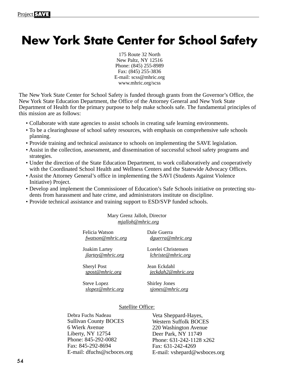# **New York State Center for School Safety**

175 Route 32 North New Paltz, NY 12516 Phone: (845) 255-8989 Fax: (845) 255-3836 E-mail: scss@mhric.org www.mhric.org/scss

The New York State Center for School Safety is funded through grants from the Governor's Office, the New York State Education Department, the Office of the Attorney General and New York State Department of Health for the primary purpose to help make schools safe. The fundamental principles of this mission are as follows:

- Collaborate with state agencies to assist schools in creating safe learning environments.
- To be a clearinghouse of school safety resources, with emphasis on comprehensive safe schools planning.
- Provide training and technical assistance to schools on implementing the SAVE legislation.
- Assist in the collection, assessment, and dissemination of successful school safety programs and strategies.
- Under the direction of the State Education Department, to work collaboratively and cooperatively with the Coordinated School Health and Wellness Centers and the Statewide Advocacy Offices.
- Assist the Attorney General's office in implementing the SAVI (Students Against Violence Initiative) Project.
- Develop and implement the Commissioner of Education's Safe Schools initiative on protecting students from harassment and hate crime, and administrators institute on discipline.
- Provide technical assistance and training support to ESD/SVP funded schools.

#### Mary Grenz Jalloh, Director *mjalloh@mhric.org*

| Felicia Watson           | Dale Guerra               |
|--------------------------|---------------------------|
| fwatson@mhric.org        | dguerra@mhric.org         |
| Joakim Lartey            | Lorelei Christensen       |
| <i>jlartey@mhric.org</i> | <i>lchriste@mhric.org</i> |
| <b>Sheryl Post</b>       | Jean Eckdahl              |
| spost@mhric.org          | jeckdah2@mhric.org        |
| Steve Lopez              | Shirley Jones             |

Steve Lopez *slopez@mhric.org* Shirley Jones *sjones@mhric.org*

#### Satellite Office:

Debra Fuchs Nadeau Sullivan County BOCES 6 Wierk Avenue Liberty, NY 12754 Phone: 845-292-0082 Fax: 845-292-8694 E-mail: dfuchs@scboces.org

Veta Sheppard-Hayes, Western Suffolk BOCES 220 Washington Avenue Deer Park, NY 11749 Phone: 631-242-1128 x262 Fax: 631-242-4269 E-mail: vshepard@wsboces.org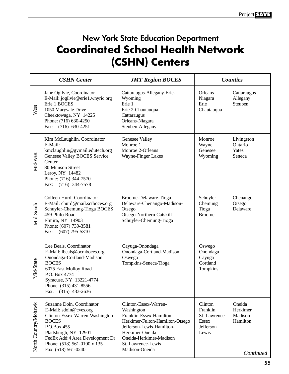# New York State Education Department **Coordinated School Health Network (CSHN) Centers**

|                      | <b>CSHN</b> Center                                                                                                                                                                                                                      | <b>JMT Region BOCES</b>                                                                                                                                                                                              |                                                                           | <b>Counties</b>                                        |
|----------------------|-----------------------------------------------------------------------------------------------------------------------------------------------------------------------------------------------------------------------------------------|----------------------------------------------------------------------------------------------------------------------------------------------------------------------------------------------------------------------|---------------------------------------------------------------------------|--------------------------------------------------------|
| West                 | Jane Ogilvie, Coordinator<br>E-Mail: jogilvie@erie1.wnyric.org<br>Erie 1 BOCES<br>1050 Maryvale Drive<br>Cheektowaga, NY 14225<br>Phone: (716) 630-4250<br>Fax: (716) 630-4251                                                          | Cattaraugus-Allegany-Erie-<br>Wyoming<br>Erie 1<br>Erie 2-Chautauqua-<br>Cattaraugus<br>Orleans-Niagara<br>Steuben-Allegany                                                                                          | Orleans<br>Niagara<br>Erie<br>Chautauqua                                  | Cattaraugus<br>Allegany<br>Steuben                     |
| Mid-West             | Kim McLaughlin, Coordinator<br>E-Mail:<br>kmclaughlin@gvmail.edutech.org<br>Genesee Valley BOCES Service<br>Center<br>80 Munson Street<br>Leroy, NY 14482<br>Phone: (716) 344-7570<br>Fax: (716) 344-7578                               | Genesee Valley<br>Monroe 1<br>Monroe 2-Orleans<br>Wayne-Finger Lakes                                                                                                                                                 | Monroe<br>Wayne<br>Genesee<br>Wyoming                                     | Livingston<br>Ontario<br>Yates<br>Seneca               |
| Mid-South            | Colleen Hurd, Coordinator<br>E-Mail: churd@mail.sctboces.org<br>Schuyler-Chemung-Tioga BOCES<br>459 Philo Road<br>Elmira, NY 14903<br>Phone: (607) 739-3581<br>$(607)$ 795-5310<br>Fax:                                                 | Broome-Delaware-Tioga<br>Delaware-Chenango-Madison-<br>Otsego<br>Otsego-Northern Catskill<br>Schuyler-Chemung-Tioga                                                                                                  | Schuyler<br>Chemung<br>Tioga<br><b>Broome</b>                             | Chenango<br>Otsego<br>Delaware                         |
| Mid-State            | Lee Beals, Coordinator<br>E-Mail: lbeals@ocmboces.org<br>Onondaga-Cortland-Madison<br><b>BOCES</b><br>6075 East Molloy Road<br>P.O. Box 4774<br>Syracuse, NY 13221-4774<br>Phone: (315) 431-8556<br>$(315)$ 433-2636<br>Fax:            | Cayuga-Onondaga<br>Onondaga-Cortland-Madison<br>Oswego<br>Tompkins-Seneca-Tioga                                                                                                                                      | Oswego<br>Onondaga<br>Cayuga<br>Cortland<br>Tompkins                      |                                                        |
| North Country/Mohawk | Suzanne Doin, Coordinator<br>E-Mail: sdoin@cves.org<br>Clinton-Essex-Warren-Washington<br><b>BOCES</b><br>P.O.Box 455<br>Plattsburgh, NY 12901<br>FedEx Add:4 Area Development Dr<br>Phone: (518) 561-0100 x 135<br>Fax: (518) 561-0240 | Clinton-Essex-Warren-<br>Washington<br>Franklin-Essex-Hamilton<br>Herkimer-Fulton-Hamilton-Otsego<br>Jefferson-Lewis-Hamilton-<br>Herkimer-Oneida<br>Oneida-Herkimer-Madison<br>St. Lawrence-Lewis<br>Madison-Oneida | Clinton<br>Franklin<br>St. Lawrence<br><b>Essex</b><br>Jefferson<br>Lewis | Oneida<br>Herkimer<br>Madison<br>Hamilton<br>Continued |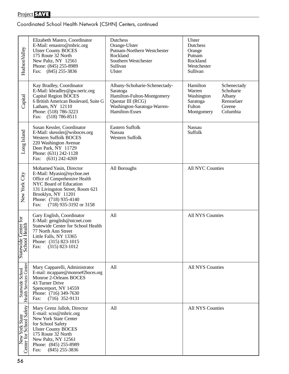Coordinated School Health Network (CSHN) Centers, continued

| Hudson Valley                              | Elizabeth Mastro, Coordinator<br>E-Mail: emastro@mhric.org<br><b>Ulster County BOCES</b><br>175 Route 32 North<br>New Paltz, NY 12561<br>Phone: (845) 255-8989<br>Fax:<br>$(845)$ 255-3836                                           | Dutchess<br>Orange-Ulster<br>Putnam-Northern Westchester<br>Rockland<br>Southern Westchester<br>Sullivan<br><b>Ulster</b>                     | Ulster<br>Dutchess<br>Orange<br>Putnam<br>Rockland<br>Westchester<br>Sullivan                                                                  |
|--------------------------------------------|--------------------------------------------------------------------------------------------------------------------------------------------------------------------------------------------------------------------------------------|-----------------------------------------------------------------------------------------------------------------------------------------------|------------------------------------------------------------------------------------------------------------------------------------------------|
| Capital                                    | Kay Bradley, Coordinator<br>E-Mail: kbradley@gw.neric.org<br><b>Capital Region BOCES</b><br>6 British American Boulevard, Suite G<br>Latham, NY 12110<br>Phone: (518) 786-3223<br>Fax:<br>$(518)$ 786-8511                           | Albany-Schoharie-Schenectady-<br>Saratoga<br>Hamilton-Fulton-Montgomery<br>Questar III (RCG)<br>Washington-Saratoga-Warren-<br>Hamilton-Essex | Hamilton<br>Schenectady<br>Warren<br>Schoharie<br>Washington<br>Albany<br>Rensselaer<br>Saratoga<br>Greene<br>Fulton<br>Columbia<br>Montgomery |
| Long Island                                | Susan Kessler, Coordinator<br>E-Mail: skessler@wsboces.org<br><b>Western Suffolk BOCES</b><br>220 Washington Avenue<br>Deer Park, NY 11729<br>Phone: (631) 242-1128<br>$(631)$ 242-4269<br>Fax:                                      | Eastern Suffolk<br><b>Nassau</b><br>Western Suffolk                                                                                           | Nassau<br>Suffolk                                                                                                                              |
| New York City                              | Mohamed Yasin, Director<br>E-Mail: Myasin@nycboe.net<br>Office of Comprehensive Health<br>NYC Board of Education<br>131 Livingston Street, Room 621<br>Brooklyn, NY 11201<br>Phone: (718) 935-4140<br>(718) 935-3192 or 3158<br>Fax: | All Boroughs                                                                                                                                  | <b>All NYC Counties</b>                                                                                                                        |
| Statewide Center for<br>School Health      | Gary English, Coordinator<br>E-Mail: genglish@ntcnet.com<br><b>Statewide Center for School Health</b><br>77 North Ann Street<br>Little Falls, NY 13365<br>Phone: (315) 823-1015<br>Fax:<br>$(315) 823 - 1012$                        | All                                                                                                                                           | <b>All NYS Counties</b>                                                                                                                        |
| Statewide School<br>Health Services Center | Mary Capparelli, Administrator<br>E-mail: mcappare@monroe#2boces.org<br>Monroe 2-Orleans BOCES<br>43 Turner Drive<br>Spencerport, NY 14559<br>Phone: (716) 349-7630<br>$(716)$ 352-9131<br>Fax:                                      | All                                                                                                                                           | <b>All NYS Counties</b>                                                                                                                        |
| New York State<br>Center for School Safety | Mary Grenz Jalloh, Director<br>E-mail: scss@mhric.org<br>New York State Center<br>for School Safety<br><b>Ulster County BOCES</b><br>175 Route 32 North<br>New Paltz, NY 12561<br>Phone: (845) 255-8989<br>$(845)$ 255-3836<br>Fax:  | All                                                                                                                                           | All NYS Counties                                                                                                                               |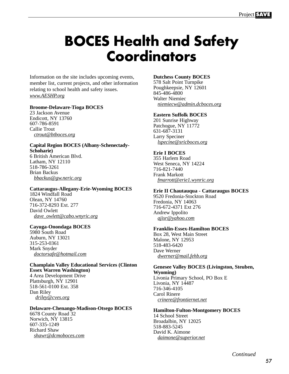# **BOCES Health and Safety Coordinators**

Information on the site includes upcoming events, member list, current projects, and other information relating to school health and safety issues. *www.AESHP.org*

#### **Broome-Delaware-Tioga BOCES**

23 Jackson Avenue Endicott, NY 13760 607-786-8591 Callie Trout *ctrout@btboces.org*

#### **Capital Region BOCES (Albany-Schenectady-Schoharie)** 6 British American Blvd. Latham, NY 12110

518-786-3261 Brian Backus *bbackus@gw.neric.org*

#### **Cattaraugus-Allegany-Erie-Wyoming BOCES**

1824 Windfall Road Olean, NY 14760 716-372-8293 Ext. 277 David Owlett *dave\_owlett@cabo.wnyric.org*

#### **Cayuga-Onondaga BOCES**

5980 South Road Auburn, NY 13021 315-253-0361 Mark Snyder *doctorsafe@hotmail.com*

#### **Champlain Valley Educational Services (Clinton Essex Warren Washington)** 4 Area Development Drive

Plattsburgh, NY 12901 518-561-0100 Ext. 358 Dan Riley *driley@cves.org*

#### **Delaware-Chenango-Madison-Otsego BOCES**

6678 County Road 32 Norwich, NY 13815 607-335-1249 Richard Shaw *shawr@dcmoboces.com*

#### **Dutchess County BOCES**

578 Salt Point Turnpike Poughkeepsie, NY 12601 845-486-4800 Walter Niemiec *niemiecw@admin.dcboces.org*

#### **Eastern Suffolk BOCES**

201 Sunrise Highway Patchogue, NY 11772 631-687-3131 Larry Speciner *lspecine@sricboces.org*

#### **Erie I BOCES**

355 Harlem Road West Seneca, NY 14224 716-821-7440 Frank Markott *fmarrott@erie1.wynric.org*

#### **Erie II Chautauqua - Cattaraugus BOCES**

9520 Fredonia-Stockton Road Fredonia, NY 14063 716-672-4371 Ext 276 Andrew Ippolito *ajisr@yahoo.com*

#### **Franklin-Essex-Hamilton BOCES**

Box 28, West Main Street Malone, NY 12953 518-483-6420 Dave Werner *dwerner@mail.fehb.org*

#### **Genesee Valley BOCES (Livingston, Steuben, Wyoming)** Livonia Primary School, PO Box E

Livonia, NY 14487 716-346-4105 Carol Rinere *crinere@frontiernet.net*

#### **Hamilton-Fulton-Montgomery BOCES**

14 School Street Broadalbin, NY 12025 518-883-5245 David K. Aimone *daimone@superior.net*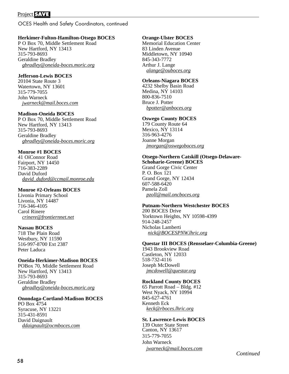OCES Health and Safety Coordinators, continued

#### **Herkimer-Fulton-Hamilton-Otsego BOCES**

P O Box 70, Middle Settlement Road New Hartford, NY 13413 315-793-8693 Geraldine Bradley *gbradley@oneida-boces.moric.org*

#### **Jefferson-Lewis BOCES**

20104 State Route 3 Watertown, NY 13601 315-779-7055 John Warneck *jwarneck@mail.boces.com*

#### **Madison-Oneida BOCES**

P O Box 70, Middle Settlement Road New Hartford, NY 13413 315-793-8693 Geraldine Bradley *gbradley@oneida-boces.moric.org*

#### **Monroe #1 BOCES**

41 OíConnor Road Fairport, NY 14450 716-383-2289 David Duford *david\_duford@ccmail.monroe.edu*

#### **Monroe #2-Orleans BOCES**

Livonia Primary School Livonia, NY 14487 716-346-4105 Carol Rinere *crinere@frontiernnet.net*

#### **Nassau BOCES**

718 The Plain Road Westbury, NY 11590 516-997-8700 Ext 2387 Peter Laduca

#### **Oneida-Herkimer-Madison BOCES**

POBox 70, Middle Settlement Road New Hartford, NY 13413 315-793-8693 Geraldine Bradley *gbradley@oneida-boces.moric.org*

#### **Onondaga-Cortland-Madison BOCES**

PO Box 4754 Syracuse, NY 13221 315-431-8591 David Daignault *ddaignault@ocmboces.com*

#### **Orange-Ulster BOCES**

Memorial Education Center 83 Linden Avenue Middletown, NY 10940 845-343-7772 Arthur J. Lange *alange@ouboces.org*

#### **Orleans-Niagara BOCES**

4232 Shelby Basin Road Medina, NY 14103 800-836-7510 Bruce J. Potter *bpotter@anboces.org*

#### **Oswego County BOCES**

179 County Route 64 Mexico, NY 13114 316-963-4276 Joanne Morgan *jmorgan@oswegoboces.org*

#### **Otsego-Northern Catskill (Otsego-Delaware-Schoharie-Greene) BOCES** Grand Gorge Civic Center

P. O. Box 121 Grand Gorge, NY 12434 607-588-6420 Pamela Zoll *pzoll@mail.oncboces.org*

#### **Putnam-Northern Westchester BOCES**

200 BOCES Drive Yorktown Heights, NY 10598-4399 914-248-2457 Nicholas Lamberti *nick@BOCESPNW.lhric.org*

#### **Questar III BOCES (Rensselaer-Columbia-Greene)**

1943 Brookview Road Castleton, NY 12033 518-732-4116 Joseph McDowell *jmcdowell@questar.org*

#### **Rockland County BOCES**

65 Parrott Road – Bldg. #12 West Nyack, NY 10994 845-627-4761 Kenneth Eck *keck@rboces.lhric.org*

#### **St. Lawrence-Lewis BOCES**

139 Outer State Street Canton, NY 13617 315-779-7055 John Warneck *jwarneck@mail.boces.com*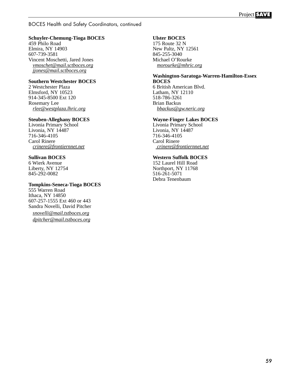#### BOCES Health and Safety Coordinators, continued

#### **Schuyler-Chemung-Tioga BOCES**

459 Philo Road Elmira, NY 14903 607-739-3581 Vincent Moschetti, Jared Jones *vmoschet@mail.sctboces.org jjones@mail.sctboces.org*

#### **Southern Westchester BOCES**

2 Westchester Plaza Elmsford, NY 10523 914-345-8500 Ext 120 Rosemary Lee *rlee@westplaza.lhric.org*

#### **Steuben-Alleghany BOCES**

Livonia Primary School Livonia, NY 14487 716-346-4105 Carol Rinere *crinere@frontiernnet.net*

#### **Sullivan BOCES**

6 Wierk Avenue Liberty, NY 12754 845-292-0082

#### **Tompkins-Seneca-Tioga BOCES**

555 Warren Road Ithaca, NY 14850 607-257-1555 Ext 460 or 443 Sandra Novelli, David Pitcher *snovelli@mail.tstboces.org dpitcher@mail.tstboces.org*

#### **Ulster BOCES**

175 Route 32 N New Paltz, NY 12561 845-255-3040 Michael O'Rourke *morourke@mhric.org*

#### **Washington-Saratoga-Warren-Hamilton-Essex BOCES** 6 British American Blvd. Latham, NY 12110

518-786-3261 Brian Backus *bbackus@gw.neric.org*

#### **Wayne-Finger Lakes BOCES**

Livonia Primary School Livonia, NY 14487 716-346-4105 Carol Rinere  *crinere@frontiernnet.net*

#### **Western Suffolk BOCES**

152 Laurel Hill Road Northport, NY 11768 516-261-5071 Debra Tenenbaum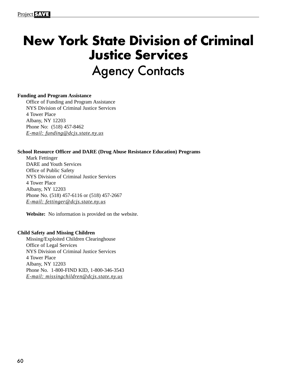# **New York State Division of Criminal Justice Services Agency Contacts**

#### **Funding and Program Assistance**

Office of Funding and Program Assistance NYS Division of Criminal Justice Services 4 Tower Place Albany, NY 12203 Phone No: (518) 457-8462 *E-mail: funding@dcjs.state.ny.us*

#### **School Resource Officer and DARE (Drug Abuse Resistance Education) Programs**

Mark Fettinger DARE and Youth Services Office of Public Safety NYS Division of Criminal Justice Services 4 Tower Place Albany, NY 12203 Phone No. (518) 457-6116 or (518) 457-2667 *E-mail: fettinger@dcjs.state.ny.us*

**Website:** No information is provided on the website.

#### **Child Safety and Missing Children**

Missing/Exploited Children Clearinghouse Office of Legal Services NYS Division of Criminal Justice Services 4 Tower Place Albany, NY 12203 Phone No. 1-800-FIND KID, 1-800-346-3543 *E-mail: missingchildren@dcjs.state.ny.us*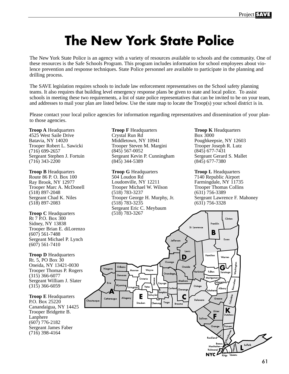# **The New York State Police**

The New York State Police is an agency with a variety of resources available to schools and the community. One of these resources is the Safe Schools Program. This program includes information for school employees about violence prevention and response techniques. State Police personnel are available to participate in the planning and drilling process.

The SAVE legislation requires schools to include law enforcement representatives on the School safety planning teams. It also requires that building level emergency response plans be given to state and local police. To assist schools in meeting these two requirements, a list of state police representatives that can be invited to be on your team, and addresses to mail your plan are listed below. Use the state map to locate the Troop(s) your school district is in.

Please contact your local police agencies for information regarding representatives and dissemination of your planto those agencies.

**Troop A** Headquarters 4525 West Saile Drive Batavia, NY 14020 Trooper Robert L. Sawicki (716) 699-2657 Sergeant Stephen J. Fortuin  $(716)$  343-2200

**Troop B** Headquarters Route 86 P. O. Box 100 Ray Brook, NY 12977 Trooper Marc A. McDonell (518) 897-2048 Sergeant Chad K. Niles (518) 897-2083

**Troop C** Headquarters Rt 7 P.O. Box 300 Sidney, NY 13838 Trooper Brian E. diLorenzo (607) 561-7488 Sergeant Michael P. Lynch (607) 561-7410

**Troop D Headquarters** Rt. 5, PO Box 30 Oneida, NY 13421-0030 Trooper Thomas P. Rogers (315) 366-6077 Sergeant William J. Slater (315) 366-6059

**Troop E** Headquarters P.O. Box 25220 Canandaigua, NY 14425 Trooper Bridgette B. Lanphere (607) 776-2182 Sergeant James Faber (716) 398-4164

**Troop F Headquarters** Crystal Run Rd Middletown, NY 10941 Trooper Steven M. Margini (845) 567-0052 Sergeant Kevin P. Cunningham (845) 344-5389

**Troop G** Headquarters 504 Loudon Rd Loudonville, NY 12211 Trooper Michael W. Wilson (518) 783-3237 Trooper George H. Murphy, Jr. (518) 783-3235 Sergeant Eric C. Meybaum

**Troop K** Headquarters Box 3000 Poughkeepsie, NY 12603 Trooper Joseph R. Lutz (845) 677-7431 Sergeant Gerard S. Mallet (845) 677-7380

**Troop L Headquarters** 7140 Republic Airport Farmingdale, NY 11735 Trooper Thomas Collins (631) 756-3389 Sergeant Lawrence F. Mahoney (631) 756-3328

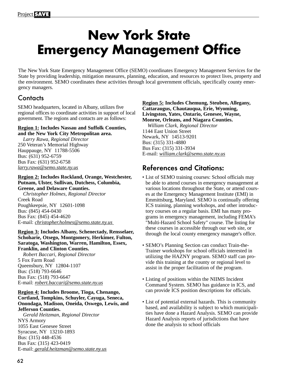# **New York State Emergency Management Office**

The New York State Emergency Management Office (SEMO) coordinates Emergency Management Services for the State by providing leadership, mitigation measures, planning, education, and resources to protect lives, property and the environment. SEMO coordinates these activities through local government officials, specifically county emergency managers.

### **Contacts**

SEMO headquarters, located in Albany, utilizes five regional offices to coordinate activities in support of local government. The regions and contacts are as follows:

#### **Region 1: Includes Nassau and Suffolk Counties, and the New York City Metropolitan area.**

*Larry Rawa, Regional Director* 250 Veteran's Memorial Highway Hauppauge, NY 11788-5506 Bus: (631) 952-6759 Bus Fax: (631) 952-6758 *larry.rawa@semo.state.ny.us*

**Region 2: Includes Rockland, Orange, Westchester, Putnam, Ulster, Sullivan, Dutchess, Columbia, Greene, and Delaware Counties.** 

*Christopher Holmes, Regional Director* Creek Road Poughkeepsie, NY 12601-1098 Bus: (845) 454-0430 Bus Fax: (845) 454-4620 E-mail: *christopher.holmes@semo.state.ny.us* 

**Region 3: Includes Albany, Schenectady, Rensselaer, Schoharie, Otsego, Montgomery, Herkimer, Fulton, Saratoga, Washington, Warren, Hamilton, Essex, Franklin, and Clinton Counties.**

*Robert Baccari, Regional Director* 5 Fox Farm Road Queensbury, NY 12804-1107 Bus: (518) 793-6646 Bus Fax: (518) 793-6647 E-mail: *robert.baccari@semo.state.ny.us*

**Region 4: Includes Broome, Tioga, Chenango, Cortland, Tompkins, Schuyler, Cayuga, Seneca, Onondaga, Madison, Oneida, Oswego, Lewis, and Jefferson Counties.**

*Gerald Heitzman, Regional Director* NYS Armory 1055 East Genesee Street Syracuse, NY 13210-1893 Bus: (315) 448-4536 Bus Fax: (315) 423-0419 E-mail: *gerald.heitzman@semo.state.ny.us* **Region 5: Includes Chemung, Steuben, Allegany, Cattaraugus, Chautauqua, Erie, Wyoming, Livingston, Yates, Ontario, Genesee, Wayne, Monroe, Orleans, and Niagara Counties.** 

*William Clark, Regional Director* 1144 East Union Street Newark, NY 14513-9201 Bus: (315) 331-4880 Bus Fax: (315) 331-3934 E-mail: *william.clark@semo.state.ny.us*

## References and Citations:

- List of SEMO training courses: School officials may be able to attend courses in emergency management at various locations throughout the State, or attend courses at the Emergency Management Institute (EMI) in Emmittsburg, Maryland. SEMO is continually offering ICS training, planning workshops, and other introductory courses on a regular basis. EMI has many programs in emergency management, including FEMA's "Multi-Hazard School Safety" course. The listing for these courses in accessible through our web site, or through the local county emergency manager's office.
- SEMO's Planning Section can conduct Train-the-Trainer workshops for school officials interested in utilizing the HAZNY program. SEMO staff can provide this training at the county or regional level to assist in the proper facilitation of the program.
- Listing of positions within the NIIMS Incident Command System. SEMO has guidance in ICS, and can provide ICS position descriptions for officials.
- List of potential external hazards. This is community based, and availability is subject to which municipalities have done a Hazard Analysis. SEMO can provide Hazard Analysis reports of jurisdictions that have done the analysis to school officials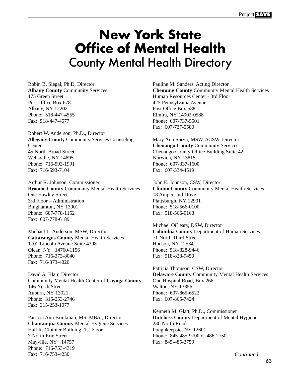# **New York State Office of Mental Health**  County Mental Health Directory

Robin B. Siegal, Ph.D, Director **Albany County** Community Services 175 Green Street Post Office Box 678 Albany, NY 12202 Phone: 518-447-4555 Fax: 518-447-4577

Robert W. Anderson, Ph.D., Director **Allegany County** Community Services Counseling **Center** 45 North Broad Street Wellsville, NY 14895 Phone: 716-593-1991 Fax: 716-593-7104

Arthur R. Johnson, Commissioner **Broome County** Community Mental Health Services One Hawley Street 3rd Floor – Administration Binghamton, NY 13901 Phone: 607-778-1152 Fax: 607-778-6189

Michael L. Anderson, MSW, Director **Cattaraugus County** Mental Health Services 1701 Lincoln Avenue Suite 4308 Olean, NY 14760-1156 Phone: 716-373-8040 Fax: 716-373-4820

David A. Blair, Director Community Mental Health Center of **Cayuga County** 146 North Street Auburn, NY 13021 Phone: 315-253-2746 Fax: 315-253-1077

Patricia Ann Brinkman, MS, MBA., Director **Chautauqua County** Mental Hygiene Services Hall R. Clothier Building, 1st Floor 7 North Erie Street Mayville, NY 14757 Phone: 716-753-4319 Fax: 716-753-4230

Pauline M. Sanders, Acting Director **Chemung County** Community Mental Health Services Human Resources Center - 3rd Floor 425 Pennsylvania Avenue Post Office Box 588 Elmira, NY 14902-0588 Phone: 607-737-5501 Fax: 607-737-5500

Mary Ann Spryn, MSW, ACSW, Director **Chenango County** Community Services Chenango County Office Building Suite 42 Norwich, NY 13815 Phone: 607-337-1600 Fax: 607-334-4519

John E. Johnson, CSW, Director **Clinton County** Community Mental Health Services 18 Ampersand Drive Plattsburgh, NY 12901 Phone: 518-566-0100 Fax: 518-566-0168

Michael OíLeary, DSW, Director **Columbia County** Department of Human Services 71 North Third Street Hudson, NY 12534 Phone: 518-828-9446 Fax: 518-828-9450

Patricia Thomson, CSW, Director **Delaware County** Community Mental Health Services One Hospital Road, Box 266 Walton, NY 13856 Phone: 607-865-6522 Fax: 607-865-7424

Kenneth M. Glatt, Ph.D., Commissioner **Dutchess County** Department of Mental Hygiene 230 North Road Poughkeepsie, NY 12601 Phone: 845-485-9700 or 486-2750 Fax: 845-485-2759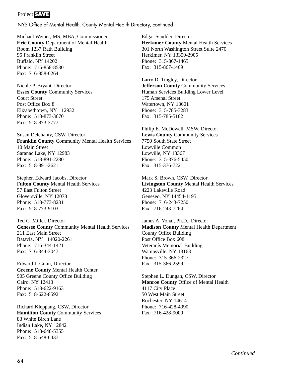NYS Office of Mental Health, County Mental Health Directory, continued

Michael Weiner, MS, MBA, Commissioner **Erie County** Department of Mental Health Room 1237 Rath Building 95 Franklin Street Buffalo, NY 14202 Phone: 716-858-8530 Fax: 716-858-6264

Nicole P. Bryant, Director **Essex County** Community Services Court Street Post Office Box 8 Elizabethtown, NY 12932 Phone: 518-873-3670 Fax: 518-873-3777

Susan Delehanty, CSW, Director **Franklin County** Community Mental Health Services 10 Main Street Saranac Lake, NY 12983 Phone: 518-891-2280 Fax: 518-891-2621

Stephen Edward Jacobs, Director F**ulton County** Mental Health Services 57 East Fulton Street Gloversville, NY 12078 Phone: 518-773-8231 Fax: 518-773-9103

Ted C. Miller, Director **Genesee County** Community Mental Health Services 211 East Main Street Batavia, NY 14020-2261 Phone: 716-344-1421 Fax: 716-344-3047

Edward J. Gunn, Director **Greene County** Mental Health Center 905 Greene County Office Building Cairo, NY 12413 Phone: 518-622-9163 Fax: 518-622-8592

Richard Kleppang, CSW, Director **Hamilton County** Community Services 83 White Birch Lane Indian Lake, NY 12842 Phone: 518-648-5355 Fax: 518-648-6437

Edgar Scudder, Director **Herkimer County** Mental Health Services 301 North Washington Street Suite 2470 Herkimer, NY 13350-2905 Phone: 315-867-1465 Fax: 315-867-1469

Larry D. Tingley, Director **Jefferson County** Community Services Human Services Building Lower Level 175 Arsenal Street Watertown, NY 13601 Phone: 315-785-3283 Fax: 315-785-5182

Philip E. McDowell, MSW, Director **Lewis County** Community Services 7750 South State Street Lowville Common Lowville, NY 13367 Phone: 315-376-5450 Fax: 315-376-7221

Mark S. Brown, CSW, Director **Livingston County** Mental Health Services 4223 Lakeville Road Geneseo, NY 14454-1195 Phone: 716-243-7250 Fax: 716-243-7264

James A. Yonai, Ph.D., Director **Madison County** Mental Health Department County Office Building Post Office Box 608 Veteranís Memorial Building Wampsville, NY 13163 Phone: 315-366-2327 Fax: 315-366-2599

Stephen L. Dungan, CSW, Director **Monroe County** Office of Mental Health 4117 City Place 50 West Main Street Rochester, NY 14614 Phone: 716-428-4990 Fax: 716-428-9009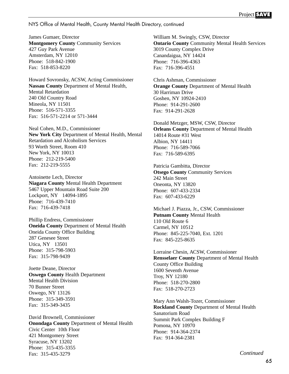NYS Office of Mental Health, County Mental Health Directory, continued

James Gumaer, Director **Montgomery County** Community Services 427 Guy Park Avenue Amsterdam, NY 12010 Phone: 518-842-1900 Fax: 518-853-8220

Howard Sovronsky, ACSW, Acting Commissioner **Nassau County** Department of Mental Health, Mental Retardation 240 Old Country Road Mineola, NY 11501 Phone: 516-571-3355 Fax: 516-571-2214 or 571-3444

Neal Cohen, M.D., Commissioner **New York City** Department of Mental Health, Mental Retardation and Alcoholism Services 93 Worth Street, Room 410 New York, NY 10013 Phone: 212-219-5400 Fax: 212-219-5555

Antoinette Lech, Director **Niagara County** Mental Health Department 5467 Upper Mountain Road Suite 200 Lockport, NY 14094-1895 Phone: 716-439-7410 Fax: 716-439-7418

Phillip Endress, Commissioner **Oneida County** Department of Mental Health Oneida County Office Building 287 Genesee Street Utica, NY 13501 Phone: 315-798-5903 Fax: 315-798-9439

Joette Deane, Director **Oswego County** Health Department Mental Health Division 70 Bunner Street Oswego, NY 13126 Phone: 315-349-3591 Fax: 315-349-3435

David Brownell, Commissioner **Onondaga County** Department of Mental Health Civic Center 10th Floor 421 Montgomery Street Syracuse, NY 13202 Phone: 315-435-3355 Fax: 315-435-3279

William M. Swingly, CSW, Director **Ontario County** Community Mental Health Services 3019 County Complex Drive Canandaigua, NY 14424 Phone: 716-396-4363 Fax: 716-396-4551

Chris Ashman, Commissioner **Orange County** Department of Mental Health 30 Harriman Drive Goshen, NY 10924-2410 Phone: 914-291-2600 Fax: 914-291-2628

Donald Metzger, MSW, CSW, Director **Orleans County** Department of Mental Health 14014 Route #31 West Albion, NY 14411 Phone: 716-589-7066 Fax: 716-589-6395

Patricia Gambitta, Director **Otsego County** Community Services 242 Main Street Oneonta, NY 13820 Phone: 607-433-2334 Fax: 607-433-6229

Michael J. Piazza, Jr., CSW, Commissioner **Putnam County** Mental Health 110 Old Route 6 Carmel, NY 10512 Phone: 845-225-7040, Ext. 1201 Fax: 845-225-8635

Lorraine Chesin, ACSW, Commissioner **Rensselaer County** Department of Mental Health County Office Building 1600 Seventh Avenue Troy, NY 12180 Phone: 518-270-2800 Fax: 518-270-2723

Mary Ann Walsh-Tozer, Commissioner **Rockland County** Department of Mental Health Sanatorium Road Summit Park Complex Building F Pomona, NY 10970 Phone: 914-364-2374 Fax: 914-364-2381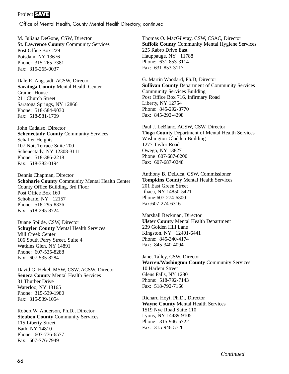Office of Mental Health, County Mental Health Directory, continued

M. Juliana DeGone, CSW, Director **St. Lawrence County** Community Services Post Office Box 229 Potsdam, NY 13676 Phone: 315-265-7381 Fax: 315-265-0037

Dale R. Angstadt, ACSW, Director **Saratoga County** Mental Health Center Cramer House 211 Church Street Saratoga Springs, NY 12866 Phone: 518-584-9030 Fax: 518-581-1709

John Cadalso, Director **Schenectady County** Community Services Schaffer Heights 107 Nott Terrace Suite 200 Schenectady, NY 12308-3111 Phone: 518-386-2218 Fax: 518-382-0194

Dennis Chapman, Director **Schoharie County** Community Mental Health Center County Office Building, 3rd Floor Post Office Box 160 Schoharie, NY 12157 Phone: 518-295-8336 Fax: 518-295-8724

Duane Spilde, CSW, Director **Schuyler County** Mental Health Services Mill Creek Center 106 South Perry Street, Suite 4 Watkins Glen, NY 14891 Phone: 607-535-8288 Fax: 607-535-8284

David G. Hekel, MSW, CSW, ACSW, Director **Seneca County** Mental Health Services 31 Thurber Drive Waterloo, NY 13165 Phone: 315-539-1980 Fax: 315-539-1054

Robert W. Anderson, Ph.D., Director **Steuben County** Community Services 115 Liberty Street Bath, NY 14810 Phone: 607-776-6577 Fax: 607-776-7949

Thomas O. MacGilvray, CSW, CSAC, Director **Suffolk County** Community Mental Hygiene Services 225 Rabro Drive East Hauppauge, NY 11788 Phone: 631-853-3114 Fax: 631-853-3117

G. Martin Woodard, Ph.D, Director **Sullivan County** Department of Community Services Community Services Building Post Office Box 716, Infirmary Road Liberty, NY 12754 Phone: 845-292-8770 Fax: 845-292-4298

Paul J. LeBlanc, ACSW, CSW, Director **Tioga County** Department of Mental Health Services Washington-Gladden Building 1277 Taylor Road Owego, NY 13827 Phone 607-687-0200 Fax: 607-687-0248

Anthony B. DeLuca, CSW, Commissioner **Tompkins County** Mental Health Services 201 East Green Street Ithaca, NY 14850-5421 Phone:607-274-6300 Fax:607-274-6316

Marshall Beckman, Director **Ulster County** Mental Health Department 239 Golden Hill Lane Kingston, NY 12401-6441 Phone: 845-340-4174 Fax: 845-340-4094

Janet Talley, CSW, Director **Warren/Washington County** Community Services 10 Harlem Street Glens Falls, NY 12801 Phone: 518-792-7143 Fax: 518-792-7166

Richard Hoyt, Ph.D., Director **Wayne County** Mental Health Services 1519 Nye Road Suite 110 Lyons, NY 14489-9105 Phone: 315-946-5722 Fax: 315-946-5726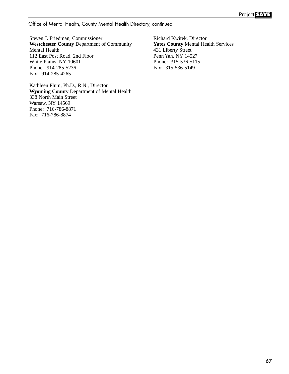Office of Mental Health, County Mental Health Directory, continued

Steven J. Friedman, Commissioner **Westchester County** Department of Community Mental Health 112 East Post Road, 2nd Floor White Plains, NY 10601 Phone: 914-285-5236 Fax: 914-285-4265

Kathleen Plum, Ph.D., R.N., Director **Wyoming County** Department of Mental Health 338 North Main Street Warsaw, NY 14569 Phone: 716-786-8871 Fax: 716-786-8874

Richard Kwitek, Director **Yates County** Mental Health Services 431 Liberty Street Penn Yan, NY 14527 Phone: 315-536-5115 Fax: 315-536-5149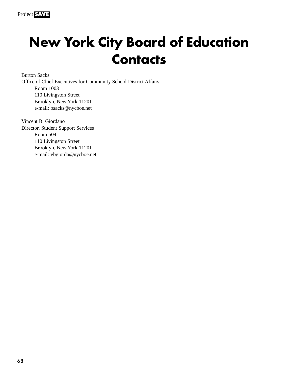# **New York City Board of Education Contacts**

Burton Sacks Office of Chief Executives for Community School District Affairs Room 1003 110 Livingston Street Brooklyn, New York 11201 e-mail: bsacks@nycboe.net

Vincent B. Giordano Director, Student Support Services Room 504 110 Livingston Street Brooklyn, New York 11201 e-mail: vbgiorda@nycboe.net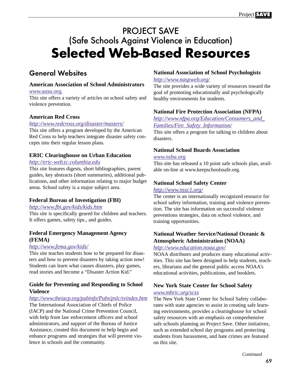# PROJECT SAVE (Safe Schools Against Violence in Education) **Selected Web-Based Resources**

### General Websites

#### **American Association of School Administrators**

#### *[www.aasa.org.](http://www.aasa.org)*

This site offers a variety of articles on school safety and violence prevention.

#### **American Red Cross**

#### *<http://www.redcross.org/disaster/masters/>*

This site offers a program developed by the American Red Cross to help teachers integrate disaster safety concepts into their regular lesson plans.

#### **ERIC Clearinghouse on Urban Education**

#### *<http://eric-web.tc.columbia.edu>*

This site features digests, short bibliographies, parent guides, key abstracts (short summaries), additional publications, and other information relating to major budget areas. School safety is a major subject area.

#### **Federal Bureau of Investigation (FBI)**

#### *<http://www.fbi.gov/kids/kids.htm>*

This site is specifically geared for children and teachers. It offers games, safety tips., and guides.

#### **Federal Emergency Management Agency (FEMA)**

#### *<http://www.fema.gov/kids/>*

This site teaches students how to be prepared for disasters and how to prevent disasters by taking action now! Students can learn what causes disasters, play games, read stories and become a "Disaster Action Kid."

#### **Guide for Preventing and Responding to School Violence**

#### *<http://www.theiacp.org/pubinfo/Pubs/pslc/svindex.htm>*

The International Association of Chiefs of Police (IACP) and the National Crime Prevention Council, with help from law enforcement officers and school administrators, and support of the Bureau of Justice Assistance, created this document to help begin and enhance programs and strategies that will prevent violence in schools and the community.

#### **National Association of School Psychologists**

#### *<http://www.naspweb.org/>*

The site provides a wide variety of resources toward the goal of promoting educationally and psychologically healthy environments for students.

#### **National Fire Protection Association (NFPA)**

*[http://www.nfpa.org/Education/Consumers\\_and\\_](http://www.nfpa.org) Families/Fire\_Safety\_Information/*

This site offers a program for talking to children about disasters.

#### **National School Boards Association**

#### *[www.nsba.org](http://www.nsba.org)*

This site has released a 10 point safe schools plan, available on-line at www.keepschoolssafe.org.

#### **National School Safety Center**

#### *<http://www.nssc1.org/>*

The center is an internationally recognized resource for school safety information, training and violence prevention. The site has information on successful violence preventions strategies, data on school violence, and training opportunities.

#### **National Weather Service/National Oceanic & Atmospheric Administration (NOAA)**

#### *<http://www.education.noaa.gov/>*

NOAA distributes and produces many educational activities. This site has been designed to help students, teachers, librarians and the general public access NOAA's educational activities, publications, and booklets.

#### **New York State Center for School Safety** *[www.mhric.org/scss](http://www.mhric.org/scss)*

The New York State Center for School Safety collaborates with state agencies to assist in creating safe learning environments, provides a clearinghouse for school safety resources with an emphasis on comprehensive safe schools planning an Project Save. Other initiatives, such as extended school day programs and protecting students from harassment, and hate crimes are featured on this site.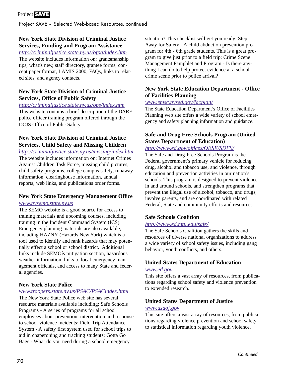Project SAVE – Selected Web-based Resources, continued

#### **New York State Division of Criminal Justice Services, Funding and Program Assistance**

*<http://criminaljustice.state.ny.us/ofpa/index.htm>* The website includes information on: grantsmanship tips, whatís new, staff directory, grantee forms, concept paper format, LAMIS 2000, FAQs, links to related sites, and agency contacts.

#### **New York State Division of Criminal Justice Services, Office of Public Safety**

*<http://criminaljustice.state.ny.us/ops/index.htm>*

This website contains a brief description of the DARE police officer training program offered through the DCJS Office of Public Safety.

#### **New York State Division of Criminal Justice Services, Child Safety and Missing Children**

*<http://criminaljustice.state.ny.us/missing/index.htm>* The website includes information on: Internet Crimes Against Children Task Force, missing child pictures, child safety programs, college campus safety, runaway information, clearinghouse information, annual reports, web links, and publications order forms.

#### **New York State Emergency Management Office**

#### *[www.nysemo.state.ny.us](http://www.nysemo.state.ny.us)*

The SEMO website is a good source for access to training materials and upcoming courses, including training in the Incident Command System (ICS). Emergency planning materials are also available, including HAZNY (Hazards New York) which is a tool used to identify and rank hazards that may potentially effect a school or school district. Additional links include SEMOís mitigation section, hazardous weather information, links to local emergency management officials, and access to many State and federal agencies.

#### **New York State Police**

#### *[www.troopers.state.ny.us/PSAC/PSACindex.html](http://www.troopers.state.ny.us/PSAC/PSACindex.html)*

The New York State Police web site has several resource materials available including: Safe Schools Programs - A series of programs for all school employees about prevention, intervention and response to school violence incidents; Field Trip Attendance System - A safety first system used for school trips to aid in chaperoning and tracking students; Gotta Go Bags - What do you need during a school emergency

situation? This checklist will get you ready; Step Away for Safety - A child abduction prevention program for 4th - 6th grade students. This is a great program to give just prior to a field trip; Crime Scene Management Pamphlet and Program - Is there anything I can do to help protect evidence at a school crime scene prior to police arrival?

#### **New York State Education Department - Office of Facilities Planning**

#### *[www.emsc.nysed.gov/facplan/](http://www.emsc.nysed.gov/facplan/)*

The State Education Department's Office of Facilities Planning web site offers a wide variety of school emergency and safety planning information and guidance.

#### **Safe and Drug Free Schools Program (United States Department of Education)**

#### *<http://www.ed.gov/offices/OESE/SDFS/>*

The Safe and Drug-Free Schools Program is the Federal government's primary vehicle for reducing drug, alcohol and tobacco use, and violence, through education and prevention activities in our nation's schools. This program is designed to prevent violence in and around schools, and strengthen programs that prevent the illegal use of alcohol, tobacco, and drugs, involve parents, and are coordinated with related Federal, State and community efforts and resources.

#### **Safe Schools Coalition**

#### *<http://www.ed.mtu.edu/safe/>*

The Safe Schools Coalition gathers the skills and resources of diverse national organizations to address a wide variety of school safety issues, including gang behavior, youth conflicts, and others.

#### **United States Department of Education**

#### *[www.ed.gov](http://www.ed.gov)*

This site offers a vast array of resources, from publications regarding school safety and violence prevention to extended research.

#### **United States Department of Justice**

#### *[www.usdoj.gov](http://www.usdoj.gov)*

This site offers a vast array of resources, from publications regarding violence prevention and school safety to statistical information regarding youth violence.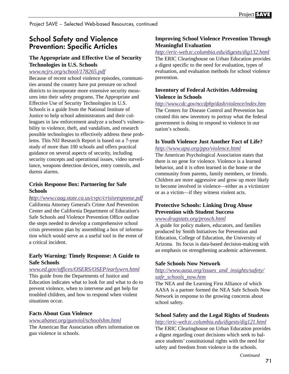# School Safety and Violence Prevention: Specific Articles

## **The Appropriate and Effective Use of Security Technologies in U.S. Schools**

#### *[www.ncjrs.org/school/178265.pdf](http://ncjrs.org/school/178265.pdf)*

Because of recent school violence episodes, communities around the country have put pressure on school districts to incorporate more extensive security measures into their safety programs. The Appropriate and Effective Use of Security Technologies in U.S. Schools is a guide from the National Institute of Justice to help school administrators and their colleagues in law enforcement analyze a school's vulnerability to violence, theft, and vandalism, and research possible technologies to effectively address these problems. This NIJ Research Report is based on a 7-year study of more than 100 schools and offers practical guidance on several aspects of security, including security concepts and operational issues, video surveillance, weapons detection devices, entry controls, and duress alarms.

#### **Crisis Response Box: Partnering for Safe Schools**

*<http://www.caag.state.ca.us/cvpc/crisisresponse.pdf>* California Attorney General's Crime And Prevention Center and the California Department of Education's Safe Schools and Violence Prevention Office outline the steps needed to develop a comprehensive school crisis prevention plan by assembling a box of information which would serve as a useful tool in the event of a critical incident.

### **Early Warning: Timely Response: A Guide to Safe Schools**

*[www.ed.gov/offices/OSERS/OSEP/earlywrn.html](http://www.ed.gov/offices/OSERS/OSEP/earlywrn.html)* This guide from the Departments of Justice and Education indicates what to look for and what to do to prevent violence, when to intervene and get help for troubled children, and how to respond when violent situations occur.

#### **Facts About Gun Violence**

#### *[www.abanet.org/gunviol/schoolshm.html](http://www.abanet.org/gunviol/schoolshm.html)*

The American Bar Association offers information on gun violence in schools.

## **Improving School Violence Prevention Through Meaningful Evaluation**

*<http://eric-web.tc.columbia.edu/digests/dig132.html>* The ERIC Clearinghouse on Urban Education provides a digest specific to the need for evaluation, types of evaluation, and evaluation methods for school violence prevention.

## **Inventory of Federal Activities Addressing Violence in Schools**

*<http://www.cdc.gov/nccdphp/dash/violence/index.htm>* The Centers for Disease Control and Prevention has created this new inventory to portray what the federal government is doing to respond to violence in our nation's schools.

## **Is Youth Violence Just Another Fact of Life?**

#### *<http://www.apa.org/ppo/violence.html>*

The American Psychological Association states that there is no gene for violence. Violence is a learned behavior, and it is often learned in the home or the community from parents, family members, or friends. Children are more aggressive and grow up more likely to become involved in violence—either as a victimizer or as a victim—if they witness violent acts.

## **Protective Schools: Linking Drug Abuse Prevention with Student Success**

#### *[www.drugstats.org/prosch.html](http://www.drugstats.org/prosch.html)*

A guide for policy makers, educators, and families produced by Smith Initiatives for Prevention and Education, College of Education, the University of Arizona. Its focus is data-based decision-making with an emphasis on strengthening academic achievement.

## **Safe Schools Now Network**

#### *[http://www.aasa.org/issues\\_and\\_insights/safety/](http://www.aasa.org/issues_and_insights/safety/safe_schools_now.htm) safe\_schools\_now.htm*

The NEA and the Learning First Alliance of which AASA is a partner formed the NEA Safe Schools Now Network in response to the growing concerns about school safety.

## **School Safety and the Legal Rights of Students**

*<http://eric-web.tc.columbia.edu/digests/dig121.html>* The ERIC Clearinghouse on Urban Education provides a digest regarding court decisions which seek to balance students' constitutional rights with the need for safety and freedom from violence in the schools.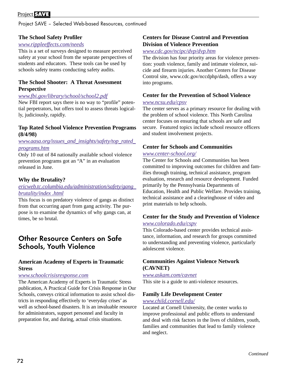## Project **SAVE**

Project SAVE – Selected Web-based Resources, continued

## **The School Safety Profiler**

#### *[www.rippleeffects.com/needs](http://www.rippleeffects.com/needs)*

This is a set of surveys designed to measure perceived safety at your school from the separate perspectives of students and educators. These tools can be used by schools safety teams conducting safety audits.

#### **The School Shooter: A Threat Assessment Perspective**

#### *[www.fbi.gov/library/school/school2.pdf](http://www.fbi.gov/library/school/school2.pdf)*

New FBI report says there is no way to "profile" potential perpetrators, but offers tool to assess threats logically, judiciously, rapidly.

#### **Top Rated School Violence Prevention Programs (8/4/98)**

#### *[www.aasa.org/issues\\_and\\_insights/safety/top\\_rated\\_](http://www.aasa.org/issues_and_insights/safety/top_rated_programs.htm) programs.htm*

Only 10 out of 84 nationally available school violence prevention programs got an "A" in an evaluation released in June.

### **Why the Brutality?**

### *[ericweb.tc.columbia.edu/administration/safety/gang\\_](http://www.ericweb.tc.columbia.edu/administration/safety/gang brutality/index .html) brutality/index .html*

This focus is on predatory violence of gangs as distinct from that occurring apart from gang activity. The purpose is to examine the dynamics of why gangs can, at times, be so brutal.

## Other Resource Centers on Safe Schools, Youth Violence

## **American Academy of Experts in Traumatic Stress**

#### *[www.schoolcrisisresponse.com](http://www.schoolcrisisresponse.com)*

The American Academy of Experts in Traumatic Stress publication, A Practical Guide for Crisis Response in Our Schools, conveys critical information to assist school districts in responding effectively to 'everyday crises' as well as school-based disasters. It is an invaluable resource for administrators, support personnel and faculty in preparation for, and during, actual crisis situations.

#### **Centers for Disease Control and Prevention Division of Violence Prevention**

### *[www.cdc.gov/ncipc/dvp/dvp.htm](http://www.cdc.gov/ncipc/dvp/dvp.htm)*

The division has four priority areas for violence prevention: youth violence, family and intimate violence, suicide and firearm injuries. Another Centers for Disease Control site, www.cdc.gov/nccdphp/dash, offers a way into programs.

#### **Center for the Prevention of School Violence**

#### *[www.ncsu.edu/cpsv](http://www.ncsu.edu/cpsv)*

The center serves as a primary resource for dealing with the problem of school violence. This North Carolina center focuses on ensuring that schools are safe and secure. Featured topics include school resource officers and student involvement projects.

### **Center for Schools and Communities**

#### *[www.center-school.org/](http://www.center-school.org/)*

The Center for Schools and Communities has been committed to improving outcomes for children and families through training, technical assistance, program evaluation, research and resource development. Funded primarily by the Pennsylvania Departments of Education, Health and Public Welfare. Provides training, technical assistance and a clearinghouse of video and print materials to help schools.

## **Center for the Study and Prevention of Violence**

#### *[www.colorado.edu/cspv](http://www.colorado.edu/cspv)*

This Colorado-based center provides technical assistance, information, and research for groups committed to understanding and preventing violence, particularly adolescent violence.

## **Communities Against Violence Network (CAVNET)**

#### *[www.askam.com/cavnet](http://www.askam.com/cavnet)*

This site is a guide to anti-violence resources.

#### **Family Life Development Center**

#### *[www.child.cornell.edu/](http://www.child.cornell.edu/)*

Located at Cornell University, the center works to improve professional and public efforts to understand and deal with risk factors in the lives of children, youth, families and communities that lead to family violence and neglect.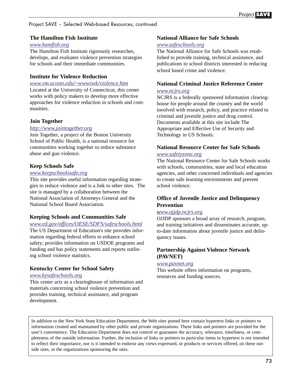## Project SAVE – Selected Web-based Resources, continued

## **The Hamilton Fish Institute**

#### *[www.hamfish.org](http://www.hamfish.org)*

The Hamilton Fish Institute rigorously researches, develops, and evaluates violence prevention strategies for schools and their immediate communities.

## **Institute for Violence Reduction**

#### *[www.vm.uconn.edu/~wwwswk/violence.htm](http://www.vm.uconn.edu/~wwwswk/violence.htm)*

Located at the University of Connecticut, this center works with policy makers to develop more effective approaches for violence reduction in schools and communities.

## **Join Together**

#### *<http://www.jointogether.org>*

Join Together, a project of the Boston University School of Public Health, is a national resource for communities working together to reduce substance abuse and gun violence.

## **Keep Schools Safe**

#### *[www.keepschoolssafe.org](http://www.keepschoolssafe.org)*

This site provides useful information regarding strategies to reduce violence and is a link to other sites. The site is managed by a collaboration between the National Association of Attorneys General and the National School Board Association.

#### **Keeping Schools and Communities Safe**

*[www.ed.gov/offices/OESE/SDFS/safeschools.html](http://www.ed.gov/offices/OESE/SDFS/safeschools.html)* The US Department of Education's site provides information regarding federal efforts to enhance school safety; provides information on USDOE programs and funding and has policy statements and reports outlining school violence statistics.

## **Kentucky Center for School Safety**

#### *[www.kysafeschools.org](http://www.kysafeschools.org)*

This center acts as a clearinghouse of information and materials concerning school violence prevention and provides training, technical assistance, and program development.

### **National Alliance for Safe Schools**

#### *[www.safeschools.org](http://www.safeschools.org)*

The National Alliance for Safe Schools was established to provide training, technical assistance, and publications to school districts interested in reducing school based crime and violence.

## **National Criminal Justice Reference Center**

#### *[www.ncjrs.org](http://www.ncjrs.org)*

NCJRS is a federally sponsored information clearinghouse for people around the country and the world involved with research, policy, and practice related to criminal and juvenile justice and drug control. Documents available at this site include The Appropriate and Effective Use of Security and Technology in US Schools.

## **National Resource Center for Safe Schools**

## *[www.safetyzone.org](http://www.safetyzone.org)*

The National Resource Center for Safe Schools works with schools, communities, state and local education agencies, and other concerned individuals and agencies to create safe learning environments and prevent school violence.

## **Office of Juvenile Justice and Delinquency Prevention**

#### *[www.ojjdp.ncjrs.org](http://ojjdp.ncjrs.org)*

OJJDP sponsors a broad array of research, program, and training initiatives and disseminates accurate, upto-date information about juvenile justice and delinquency issues.

## **Partnership Against Violence Network (PAVNET)**

#### *[www.pavnet.org](http://www.pavnet.org)*

This website offers information on programs, resources and funding sources.

In addition to the New York State Education Department, the Web sites posted here contain hypertext links or pointers to information created and maintained by other public and private organizations. These links and pointers are provided for the user's convenience. The Education Department does not control or guarantee the accuracy, relevance, timeliness, or completeness of the outside information. Further, the inclusion of links or pointers to particular items in hypertext is not intended to reflect their importance, nor is it intended to endorse any views expressed, or products or services offered, on these outside sites, or the organizations sponsoring the sites.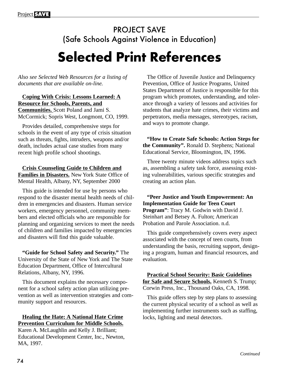# PROJECT SAVE (Safe Schools Against Violence in Education) **Selected Print References**

*Also see Selected Web Resources for a listing of documents that are available on-line.*

**Coping With Crisis: Lessons Learned: A Resource for Schools, Parents, and Communities.** Scott Poland and Jami S. McCormick; Sopris West, Longmont, CO, 1999.

Provides detailed, comprehensive steps for schools in the event of any type of crisis situation such as threats, fights, intruders, weapons and/or death, includes actual case studies from many recent high profile school shootings.

**Crisis Counseling Guide to Children and Families in Disasters.** New York State Office of Mental Health, Albany, NY, September 2000

This guide is intended for use by persons who respond to the disaster mental health needs of children in emergencies and disasters. Human service workers, emergency personnel, community members and elected officials who are responsible for planning and organizing services to meet the needs of children and families impacted by emergencies and disasters will find this guide valuable.

**"Guide for School Safety and Security."** The University of the State of New York and The State Education Department, Office of Intercultural Relations, Albany, NY, 1996.

This document explains the necessary component for a school safety action plan utilizing prevention as well as intervention strategies and community support and resources.

## **Healing the Hate: A National Hate Crime Prevention Curriculum for Middle Schools.**

Karen A. McLaughlin and Kelly J. Brilliant; Educational Development Center, Inc., Newton, MA, 1997.

The Office of Juvenile Justice and Delinquency Prevention, Office of Justice Programs, United States Department of Justice is responsible for this program which promotes, understanding, and tolerance through a variety of lessons and activities for students that analyze hate crimes, their victims and perpetrators, media messages, stereotypes, racism, and ways to promote change.

**"How to Create Safe Schools: Action Steps for the Community".** Ronald D. Stephens; National Educational Service, Bloomington, IN, 1996.

Three twenty minute videos address topics such as, assembling a safety task force, assessing existing vulnerabilities, various specific strategies and creating an action plan.

**"Peer Justice and Youth Empowerment: An Implementation Guide for Teen Court Program"**: Tracy M. Godwin with David J. Steinhart and Betsey A. Fulton; American Probation and Parole Association. n.d.

This guide comprehensively covers every aspect associated with the concept of teen courts, from understanding the basis, recruiting support, designing a program, human and financial resources, and evaluation.

**Practical School Security: Basic Guidelines for Safe and Secure Schools.** Kenneth S. Trump; Corwin Press, Inc., Thousand Oaks, CA, 1998.

This guide offers step by step plans to assessing the current physical security of a school as well as implementing further instruments such as staffing, locks, lighting and metal detectors.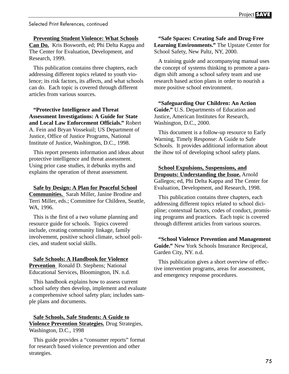Selected Print References, continued

**Preventing Student Violence: What Schools**

**Can Do.** Kris Bosworth, ed; Phi Delta Kappa and The Center for Evaluation, Development, and Research, 1999.

This publication contains three chapters, each addressing different topics related to youth violence; its risk factors, its affects, and what schools can do. Each topic is covered through different articles from various sources.

**"Protective Intelligence and Threat Assessment Investigations: A Guide for State and Local Law Enforcement Officials."** Robert A. Fein and Bryan Vossekuil; US Department of Justice, Office of Justice Programs, National Institute of Justice, Washington, D.C., 1998.

This report presents information and ideas about protective intelligence and threat assessment. Using prior case studies, it debunks myths and explains the operation of threat assessment.

**Safe by Design: A Plan for Peaceful School Communities.** Sarah Miller, Janine Brodine and Terri Miller, eds.; Committee for Children, Seattle, WA, 1996.

This is the first of a two volume planning and resource guide for schools. Topics covered include, creating community linkage, family involvement, positive school climate, school policies, and student social skills.

**Safe Schools: A Handbook for Violence Prevention** Ronald D. Stephens; National Educational Services, Bloomington, IN. n.d.

This handbook explains how to assess current school safety then develop, implement and evaluate a comprehensive school safety plan; includes sample plans and documents.

#### **Safe Schools, Safe Students: A Guide to Violence Prevention Strategies.** Drug Strategies, Washington, D.C., 1998

This guide provides a "consumer reports" format for research based violence prevention and other strategies.

**"Safe Spaces: Creating Safe and Drug-Free Learning Environments."** The Upstate Center for School Safety, New Paltz, NY, 2000.

A training guide and accompanying manual uses the concept of systems thinking to promote a paradigm shift among a school safety team and use research based action plans in order to nourish a more positive school environment.

**"Safeguarding Our Children: An Action Guide."** U.S. Departments of Education and Justice, American Institutes for Research, Washington, D.C., 2000.

This document is a follow-up resource to Early Warning, Timely Response: A Guide to Safe Schools. It provides additional information about the ìhow toî of developing school safety plans.

**School Expulsions, Suspensions, and Dropouts: Understanding the Issue.** Arnold Gallegos; ed, Phi Delta Kappa and The Center for Evaluation, Development, and Research, 1998.

This publication contains three chapters, each addressing different topics related to school dicipline; contextual factors, codes of conduct, promising programs and practices. Each topic is covered through different articles from various sources.

**"School Violence Prevention and Management Guide."** New York Schools Insurance Reciprocal, Garden City, NY. n.d.

This publication gives a short overview of effective intervention programs, areas for assessment, and emergency response procedures.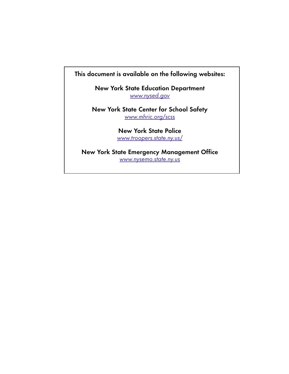# This document is available on the following websites:

New York State Education Department [www.nysed.gov](http://www.nysed.gov)

New York State Center for School Safety [www.mhric.org/scss](http:/www.mhric.org/scss)

> New York State Police [www.troopers.state.ny.us/](http://www.troopers.state.ny.us)

New York State Emergency Management Office [www.nysemo.state.ny.us](http://www.nysemo.state.ny.us)